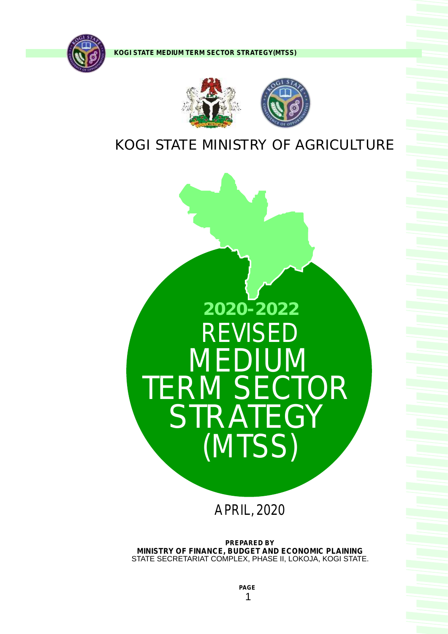





# KOGI STATE MINISTRY OF AGRICULTURE



APRIL, 2020

**PREPARED BY MINISTRY OF FINANCE, BUDGET AND ECONOMIC PLAINING**  STATE SECRETARIAT COMPLEX, PHASE II, LOKOJA, KOGI STATE.

> **PAGE**  1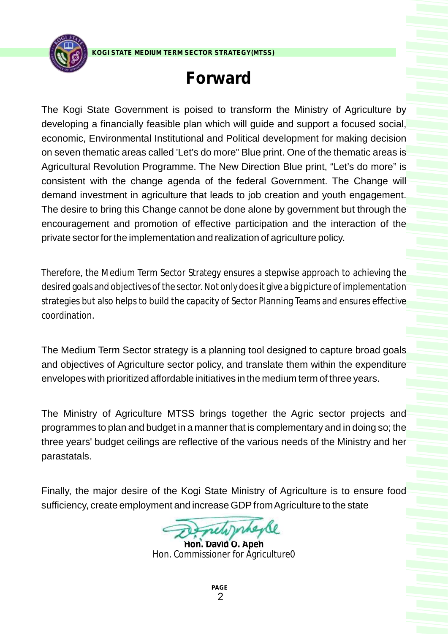

# **Forward**

The Kogi State Government is poised to transform the Ministry of Agriculture by developing a financially feasible plan which will guide and support a focused social, economic, Environmental Institutional and Political development for making decision on seven thematic areas called 'Let's do more" Blue print. One of the thematic areas is Agricultural Revolution Programme. The New Direction Blue print, "Let's do more" is consistent with the change agenda of the federal Government. The Change will demand investment in agriculture that leads to job creation and youth engagement. The desire to bring this Change cannot be done alone by government but through the encouragement and promotion of effective participation and the interaction of the private sector for the implementation and realization of agriculture policy.

Therefore, the Medium Term Sector Strategy ensures a stepwise approach to achieving the desired goals and objectives of the sector. Not only does it give a big picture of implementation strategies but also helps to build the capacity of Sector Planning Teams and ensures effective coordination.

The Medium Term Sector strategy is a planning tool designed to capture broad goals and objectives of Agriculture sector policy, and translate them within the expenditure envelopes with prioritized affordable initiatives in the medium term of three years.

The Ministry of Agriculture MTSS brings together the Agric sector projects and programmes to plan and budget in a manner that is complementary and in doing so; the three years' budget ceilings are reflective of the various needs of the Ministry and her parastatals.

Finally, the major desire of the Kogi State Ministry of Agriculture is to ensure food sufficiency, create employment and increase GDP from Agriculture to the state

**Hon. David O. Apeh** Hon. Commissioner for Agriculture0

**PAGE**  2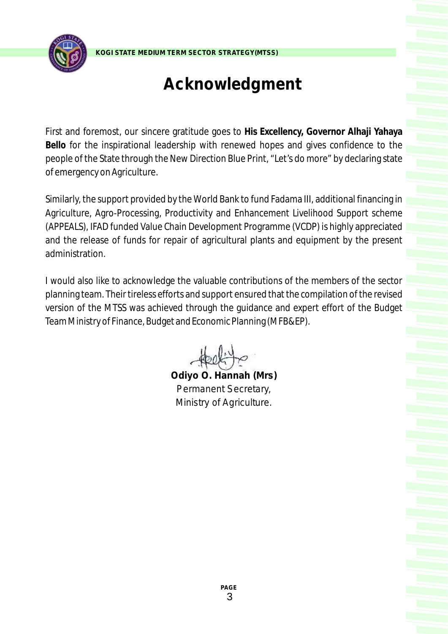

# **Acknowledgment**

First and foremost, our sincere gratitude goes to **His Excellency, Governor Alhaji Yahaya Bello** for the inspirational leadership with renewed hopes and gives confidence to the people of the State through the New Direction Blue Print, "Let's do more" by declaring state of emergency on Agriculture.

Similarly, the support provided by the World Bank to fund Fadama III, additional financing in Agriculture, Agro-Processing, Productivity and Enhancement Livelihood Support scheme (APPEALS), IFAD funded Value Chain Development Programme (VCDP) is highly appreciated and the release of funds for repair of agricultural plants and equipment by the present administration.

I would also like to acknowledge the valuable contributions of the members of the sector planning team. Their tireless efforts and support ensured that the compilation of the revised version of the MTSS was achieved through the guidance and expert effort of the Budget Team Ministry of Finance, Budget and Economic Planning (MFB&EP).

**Odiyo O. Hannah (Mrs)** *Permanent Secretary, Ministry of Agriculture.*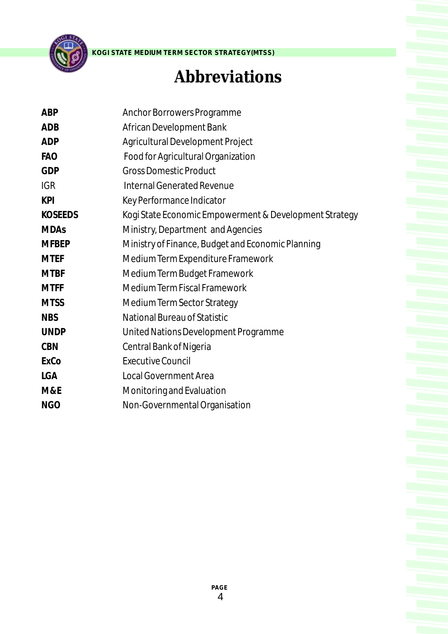

# **Abbreviations**

| <b>ABP</b>     | Anchor Borrowers Programme                             |
|----------------|--------------------------------------------------------|
| <b>ADB</b>     | African Development Bank                               |
| <b>ADP</b>     | Agricultural Development Project                       |
| <b>FAO</b>     | Food for Agricultural Organization                     |
| <b>GDP</b>     | <b>Gross Domestic Product</b>                          |
| <b>IGR</b>     | Internal Generated Revenue                             |
| <b>KPI</b>     | Key Performance Indicator                              |
| <b>KOSEEDS</b> | Kogi State Economic Empowerment & Development Strategy |
| <b>MDAs</b>    | Ministry, Department and Agencies                      |
| <b>MFBEP</b>   | Ministry of Finance, Budget and Economic Planning      |
| <b>MTEF</b>    | Medium Term Expenditure Framework                      |
| <b>MTBF</b>    | Medium Term Budget Framework                           |
| <b>MTFF</b>    | Medium Term Fiscal Framework                           |
| <b>MTSS</b>    | Medium Term Sector Strategy                            |
| <b>NBS</b>     | National Bureau of Statistic                           |
| <b>UNDP</b>    | United Nations Development Programme                   |
| <b>CBN</b>     | Central Bank of Nigeria                                |
| ExCo           | <b>Executive Council</b>                               |
| LGA            | <b>Local Government Area</b>                           |
| M&E            | Monitoring and Evaluation                              |
| <b>NGO</b>     | Non-Governmental Organisation                          |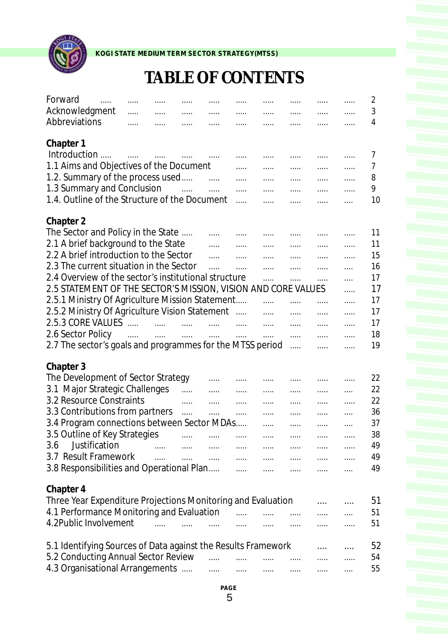

# **TABLE OF CONTENTS**

| Forward<br>$\ldots$<br>Acknowledgment                         | .          | .                         |                                                                                                                  |                       | .            | .                                                                                                                | .                                                         |                                                    | .        | 2<br>3 |
|---------------------------------------------------------------|------------|---------------------------|------------------------------------------------------------------------------------------------------------------|-----------------------|--------------|------------------------------------------------------------------------------------------------------------------|-----------------------------------------------------------|----------------------------------------------------|----------|--------|
| Abbreviations                                                 | .          | .                         | .                                                                                                                | .                     | .            |                                                                                                                  | .                                                         | .                                                  | .        | 4      |
|                                                               | .          |                           | .                                                                                                                | .                     | .            | .                                                                                                                | .                                                         | .                                                  | .        |        |
| Chapter 1                                                     |            |                           |                                                                                                                  |                       |              |                                                                                                                  |                                                           |                                                    |          |        |
| Introduction                                                  | $\cdots$   | $\cdots$                  |                                                                                                                  |                       |              |                                                                                                                  |                                                           | .                                                  | .        | 7      |
| 1.1 Aims and Objectives of the Document                       |            |                           |                                                                                                                  |                       | .            | .                                                                                                                | .                                                         | .                                                  | .        | 7      |
| 1.2. Summary of the process used                              |            |                           |                                                                                                                  | $\cdots$              | .            | .                                                                                                                | .                                                         | .                                                  | .        | 8      |
| 1.3 Summary and Conclusion                                    |            |                           | $\sim 10^{11}$ and $\sim 10^{11}$                                                                                |                       | .            | .                                                                                                                | .                                                         | .                                                  | .        | 9      |
| 1.4. Outline of the Structure of the Document                 |            |                           |                                                                                                                  |                       | .            |                                                                                                                  |                                                           | .                                                  | .        | 10     |
|                                                               |            |                           |                                                                                                                  |                       |              |                                                                                                                  |                                                           |                                                    |          |        |
| Chapter 2                                                     |            |                           |                                                                                                                  |                       |              |                                                                                                                  |                                                           |                                                    |          |        |
| The Sector and Policy in the State                            |            |                           |                                                                                                                  | .                     |              |                                                                                                                  | .                                                         | .                                                  | .        | 11     |
| 2.1 A brief background to the State                           |            |                           |                                                                                                                  | .                     | .            | .                                                                                                                | .                                                         |                                                    | .        | 11     |
| 2.2 A brief introduction to the Sector                        |            |                           |                                                                                                                  | $\cdots$              | .            |                                                                                                                  | .                                                         | .                                                  | .        | 15     |
| 2.3 The current situation in the Sector                       |            |                           |                                                                                                                  | .                     | .            | .                                                                                                                | .                                                         | .                                                  | .        | 16     |
| 2.4 Overview of the sector's institutional structure          |            |                           |                                                                                                                  |                       |              | .                                                                                                                | .                                                         | .                                                  | $\cdots$ | 17     |
| 2.5 STATEMENT OF THE SECTOR'S MISSION, VISION AND CORE VALUES |            |                           |                                                                                                                  |                       |              |                                                                                                                  |                                                           |                                                    | .        | 17     |
| 2.5.1 Ministry Of Agriculture Mission Statement               |            |                           |                                                                                                                  |                       |              | .                                                                                                                | .                                                         | .                                                  | .        | 17     |
| 2.5.2 Ministry Of Agriculture Vision Statement                |            |                           |                                                                                                                  |                       | $\ldots$     | .                                                                                                                | .                                                         | .                                                  | .        | 17     |
| 2.5.3 CORE VALUES                                             |            |                           | and the company of the company of the company of the company of the company of the company of the company of the |                       | $\ldots$     | .                                                                                                                | .                                                         | .                                                  | .        | 17     |
| 2.6 Sector Policy                                             | $\ldots$ . | $\ldots$                  | $\ldots$                                                                                                         | $\cdots$              | .            | .                                                                                                                | .                                                         | .                                                  | .        | 18     |
| 2.7 The sector's goals and programmes for the MTSS period     |            |                           |                                                                                                                  |                       |              |                                                                                                                  | .                                                         | .                                                  | .        | 19     |
|                                                               |            |                           |                                                                                                                  |                       |              |                                                                                                                  |                                                           |                                                    |          |        |
| Chapter 3                                                     |            |                           |                                                                                                                  |                       |              |                                                                                                                  |                                                           |                                                    |          |        |
| The Development of Sector Strategy                            |            |                           |                                                                                                                  | .                     | .            |                                                                                                                  | .                                                         | .                                                  | .        | 22     |
| 3.1 Major Strategic Challenges                                |            |                           | .                                                                                                                | .                     | .            | .                                                                                                                |                                                           |                                                    | $\cdots$ | 22     |
| 3.2 Resource Constraints                                      |            |                           | .                                                                                                                | .                     | .            | .                                                                                                                | .                                                         | .                                                  | .        | 22     |
| 3.3 Contributions from partners                               |            |                           | .                                                                                                                | .                     | .            | .                                                                                                                |                                                           | .                                                  | $\cdots$ | 36     |
| 3.4 Program connections between Sector MDAs                   |            |                           |                                                                                                                  |                       |              | .                                                                                                                | .                                                         | .                                                  | $\cdots$ | 37     |
| 3.5 Outline of Key Strategies                                 |            |                           |                                                                                                                  |                       | $\ldots$ .   | <b>Contract Contract</b>                                                                                         | $\cdots$                                                  | $\cdots$                                           | .        | 38     |
| Justification<br>3.6                                          |            | <b>Service Contractor</b> |                                                                                                                  |                       |              |                                                                                                                  |                                                           | <b>Service</b> Contractor                          |          | 49     |
| 3.7 Result Framework                                          |            | $\cdots$                  | $\cdots$                                                                                                         |                       |              | and the company of the company of the company of the company of the company of the company of the company of the |                                                           | <b>Service</b> Contractor                          | $\cdots$ | 49     |
| 3.8 Responsibilities and Operational Plan                     |            |                           |                                                                                                                  |                       |              | $\mathbf{r}_{\text{max}}$ , and $\mathbf{r}_{\text{max}}$                                                        | $\ldots$ . $\ldots$                                       | $\ldots$ . The set of $\mathbb{R}^n$               | $\cdots$ | 49     |
|                                                               |            |                           |                                                                                                                  |                       |              |                                                                                                                  |                                                           |                                                    |          |        |
| Chapter 4                                                     |            |                           |                                                                                                                  |                       |              |                                                                                                                  |                                                           |                                                    |          |        |
| Three Year Expenditure Projections Monitoring and Evaluation  |            |                           |                                                                                                                  |                       |              |                                                                                                                  |                                                           | $\cdots$                                           | $\cdots$ | 51     |
| 4.1 Performance Monitoring and Evaluation                     |            |                           |                                                                                                                  |                       | $\mathbf{r}$ | $\cdots$                                                                                                         | $\ldots$                                                  |                                                    |          | 51     |
| 4.2Public Involvement                                         |            |                           |                                                                                                                  | $\cdots$              | $\ldots$     | $\cdots$                                                                                                         | $\ldots$                                                  | aaaan in                                           | $\ldots$ | 51     |
|                                                               |            |                           |                                                                                                                  |                       |              |                                                                                                                  |                                                           |                                                    |          |        |
| 5.1 Identifying Sources of Data against the Results Framework |            |                           |                                                                                                                  |                       |              |                                                                                                                  |                                                           |                                                    | $\cdots$ | 52     |
| 5.2 Conducting Annual Sector Review                           |            |                           |                                                                                                                  | $\ldots$ . $\ldots$ . |              | $\mathbf{r}$ . The set of $\mathbf{r}$                                                                           | $\mathbf{r}$ , $\mathbf{r}$ , $\mathbf{r}$ , $\mathbf{r}$ | <b><i><u>AAAAAAAAA</u></i></b>                     | $\cdots$ | 54     |
| 4.3 Organisational Arrangements                               |            |                           |                                                                                                                  | $\ldots$              |              | and and the main and and the                                                                                     |                                                           | $\ldots$ .<br><br><br><br><br><br><br><br><br><br> | $\ldots$ | 55     |
|                                                               |            |                           |                                                                                                                  |                       |              |                                                                                                                  |                                                           |                                                    |          |        |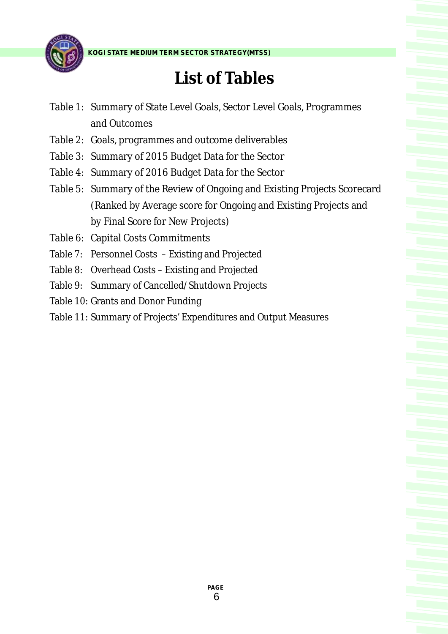

# **List of Tables**

- Table 1: Summary of State Level Goals, Sector Level Goals, Programmes and Outcomes
- Table 2: Goals, programmes and outcome deliverables
- Table 3: Summary of 2015 Budget Data for the Sector
- Table 4: Summary of 2016 Budget Data for the Sector
- Table 5: Summary of the Review of Ongoing and Existing Projects Scorecard (Ranked by Average score for Ongoing and Existing Projects and by Final Score for New Projects)
- Table 6: Capital Costs Commitments
- Table 7: Personnel Costs Existing and Projected
- Table 8: Overhead Costs Existing and Projected
- Table 9: Summary of Cancelled/Shutdown Projects
- Table 10: Grants and Donor Funding
- Table 11: Summary of Projects' Expenditures and Output Measures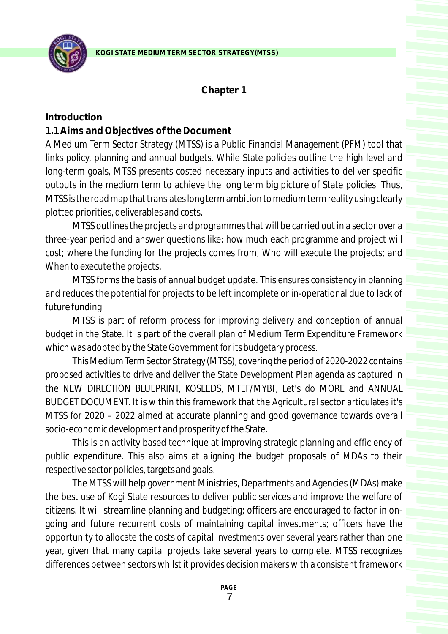

### **Chapter 1**

#### **Introduction**

#### **1.1 Aims and Objectives of the Document**

A Medium Term Sector Strategy (MTSS) is a Public Financial Management (PFM) tool that links policy, planning and annual budgets. While State policies outline the high level and long-term goals, MTSS presents costed necessary inputs and activities to deliver specific outputs in the medium term to achieve the long term big picture of State policies. Thus, MTSS is the road map that translates long term ambition to medium term reality using clearly plotted priorities, deliverables and costs.

MTSS outlines the projects and programmes that will be carried out in a sector over a three-year period and answer questions like: how much each programme and project will cost; where the funding for the projects comes from; Who will execute the projects; and When to execute the projects.

MTSS forms the basis of annual budget update. This ensures consistency in planning and reduces the potential for projects to be left incomplete or in-operational due to lack of future funding.

MTSS is part of reform process for improving delivery and conception of annual budget in the State. It is part of the overall plan of Medium Term Expenditure Framework which was adopted by the State Government for its budgetary process.

This Medium Term Sector Strategy (MTSS), covering the period of 2020-2022 contains proposed activities to drive and deliver the State Development Plan agenda as captured in the NEW DIRECTION BLUEPRINT, KOSEEDS, MTEF/MYBF, Let's do MORE and ANNUAL BUDGET DOCUMENT. It is within this framework that the Agricultural sector articulates it's MTSS for 2020 – 2022 aimed at accurate planning and good governance towards overall socio-economic development and prosperity of the State.

This is an activity based technique at improving strategic planning and efficiency of public expenditure. This also aims at aligning the budget proposals of MDAs to their respective sector policies, targets and goals.

The MTSS will help government Ministries, Departments and Agencies (MDAs) make the best use of Kogi State resources to deliver public services and improve the welfare of citizens. It will streamline planning and budgeting; officers are encouraged to factor in ongoing and future recurrent costs of maintaining capital investments; officers have the opportunity to allocate the costs of capital investments over several years rather than one year, given that many capital projects take several years to complete. MTSS recognizes differences between sectors whilst it provides decision makers with a consistent framework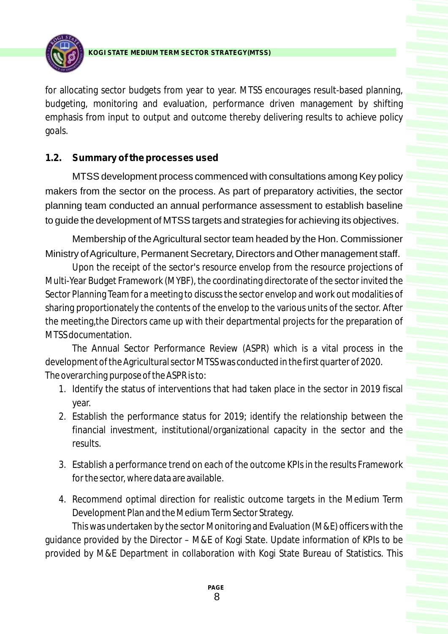

for allocating sector budgets from year to year. MTSS encourages result-based planning, budgeting, monitoring and evaluation, performance driven management by shifting emphasis from input to output and outcome thereby delivering results to achieve policy goals.

# **1.2. Summary of the processes used**

MTSS development process commenced with consultations among Key policy makers from the sector on the process. As part of preparatory activities, the sector planning team conducted an annual performance assessment to establish baseline to guide the development of MTSS targets and strategies for achieving its objectives.

Membership of the Agricultural sector team headed by the Hon. Commissioner Ministry of Agriculture, Permanent Secretary, Directors and Other management staff.

Upon the receipt of the sector's resource envelop from the resource projections of Multi-Year Budget Framework (MYBF), the coordinating directorate of the sector invited the Sector Planning Team for a meeting to discuss the sector envelop and work out modalities of sharing proportionately the contents of the envelop to the various units of the sector. After the meeting,the Directors came up with their departmental projects for the preparation of MTSS documentation.

The Annual Sector Performance Review (ASPR) which is a vital process in the development of the Agricultural sector MTSS was conducted in the first quarter of 2020. *The overarching purpose of the ASPR is to:*

- 1. Identify the status of interventions that had taken place in the sector in 2019 fiscal year.
- 2. Establish the performance status for 2019; identify the relationship between the financial investment, institutional/organizational capacity in the sector and the results.
- 3. Establish a performance trend on each of the outcome KPIs in the results Framework for the sector, where data are available.
- 4. Recommend optimal direction for realistic outcome targets in the Medium Term Development Plan and the Medium Term Sector Strategy.

This was undertaken by the sector Monitoring and Evaluation (M&E) officers with the guidance provided by the Director – M&E of Kogi State. Update information of KPIs to be provided by M&E Department in collaboration with Kogi State Bureau of Statistics. This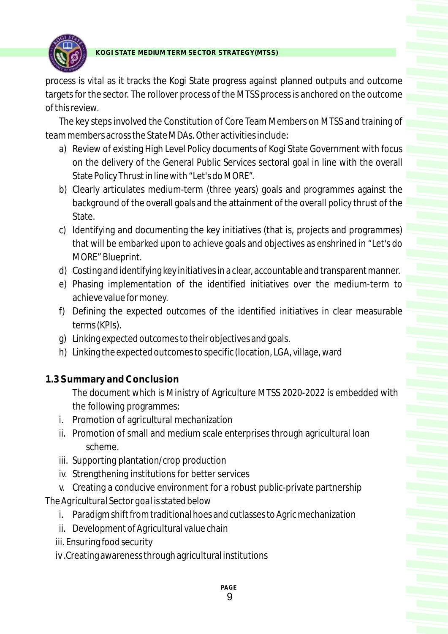

process is vital as it tracks the Kogi State progress against planned outputs and outcome targets for the sector. The rollover process of the MTSS process is anchored on the outcome of this review.

The key steps involved the Constitution of Core Team Members on MTSS and training of team members across the State MDAs. Other activities include:

- a) Review of existing High Level Policy documents of Kogi State Government with focus on the delivery of the General Public Services sectoral goal in line with the overall State Policy Thrust in line with "Let's do MORE".
- b) Clearly articulates medium-term (three years) goals and programmes against the background of the overall goals and the attainment of the overall policy thrust of the State.
- c) Identifying and documenting the key initiatives (that is, projects and programmes) that will be embarked upon to achieve goals and objectives as enshrined in "Let's do MORE" Blueprint.
- d) Costing and identifying key initiatives in a clear, accountable and transparent manner.
- e) Phasing implementation of the identified initiatives over the medium-term to achieve value for money.
- f) Defining the expected outcomes of the identified initiatives in clear measurable terms (KPIs).
- g) Linking expected outcomes to their objectives and goals.
- h) Linking the expected outcomes to specific (location, LGA, village, ward

# **1.3 Summary and Conclusion**

The document which is Ministry of Agriculture MTSS 2020-2022 is embedded with the following programmes:

- i. Promotion of agricultural mechanization
- ii. Promotion of small and medium scale enterprises through agricultural loan scheme.
- iii. Supporting plantation/crop production
- iv. Strengthening institutions for better services
- v. Creating a conducive environment for a robust public-private partnership *The Agricultural Sector goal is stated below*
	- i. Paradigm shift from traditional hoes and cutlasses to Agric mechanization
	- ii. Development of Agricultural value chain
	- iii. Ensuring food security
	- iv .Creating awareness through agricultural institutions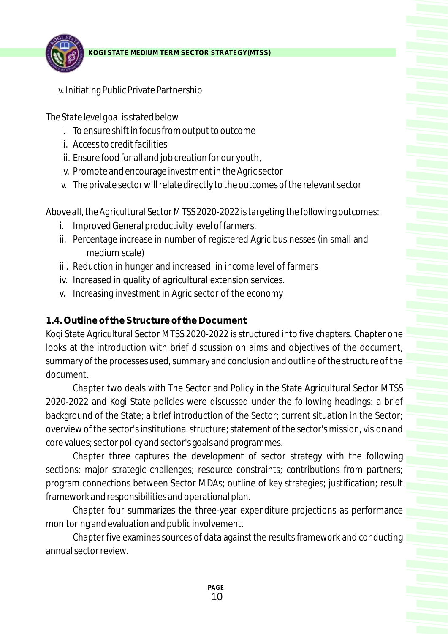

v. Initiating Public Private Partnership

# *The State level goal is stated below*

- i. To ensure shift in focus from output to outcome
- ii. Access to credit facilities
- iii. Ensure food for all and job creation for our youth,
- iv. Promote and encourage investment in the Agric sector
- v. The private sector will relate directly to the outcomes of the relevant sector

*Above all, the Agricultural Sector MTSS 2020-2022 is targeting the following outcomes:*

- i. Improved General productivity level of farmers.
- ii. Percentage increase in number of registered Agric businesses (in small and medium scale)
- iii. Reduction in hunger and increased in income level of farmers
- iv. Increased in quality of agricultural extension services.
- v. Increasing investment in Agric sector of the economy

# **1.4. Outline of the Structure of the Document**

Kogi State Agricultural Sector MTSS 2020-2022 is structured into five chapters. Chapter one looks at the introduction with brief discussion on aims and objectives of the document, summary of the processes used, summary and conclusion and outline of the structure of the document.

Chapter two deals with The Sector and Policy in the State Agricultural Sector MTSS 2020-2022 and Kogi State policies were discussed under the following headings: a brief background of the State; a brief introduction of the Sector; current situation in the Sector; overview of the sector's institutional structure; statement of the sector's mission, vision and core values; sector policy and sector's goals and programmes.

Chapter three captures the development of sector strategy with the following sections: major strategic challenges; resource constraints; contributions from partners; program connections between Sector MDAs; outline of key strategies; justification; result framework and responsibilities and operational plan.

Chapter four summarizes the three-year expenditure projections as performance monitoring and evaluation and public involvement.

Chapter five examines sources of data against the results framework and conducting annual sector review.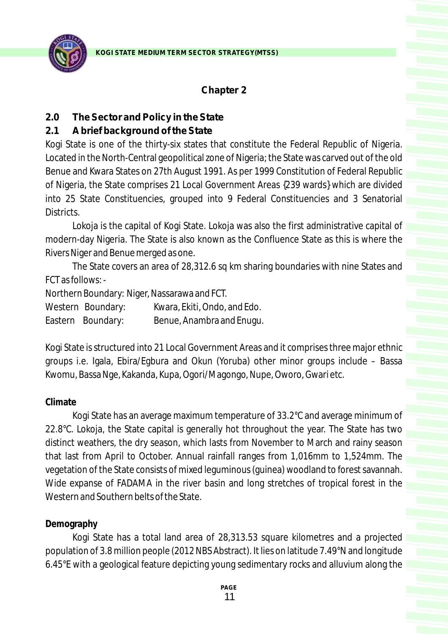

### **Chapter 2**

#### **2.0 The Sector and Policy in the State**

### **2.1 Abrief background of the State**

Kogi State is one of the thirty-six states that constitute the Federal Republic of Nigeria. Located in the North-Central geopolitical zone of Nigeria; the State was carved out of the old Benue and Kwara States on 27th August 1991. As per 1999 Constitution of Federal Republic of Nigeria, the State comprises 21 Local Government Areas {239 wards} which are divided into 25 State Constituencies, grouped into 9 Federal Constituencies and 3 Senatorial Districts.

Lokoja is the capital of Kogi State. Lokoja was also the first administrative capital of modern-day Nigeria. The State is also known as the Confluence State as this is where the Rivers Niger and Benue merged as one.

The State covers an area of 28,312.6 sq km sharing boundaries with nine States and FCT as follows: -

Northern Boundary: Niger, Nassarawa and FCT.

Western Boundary: Kwara, Ekiti, Ondo, and Edo.

Eastern Boundary: Benue, Anambra and Enugu.

Kogi State is structured into 21 Local Government Areas and it comprises three major ethnic groups i.e. Igala, Ebira/Egbura and Okun (Yoruba) other minor groups include – Bassa Kwomu, Bassa Nge, Kakanda, Kupa, Ogori/Magongo, Nupe, Oworo, Gwari etc.

#### **Climate**

Kogi State has an average maximum temperature of 33.2°C and average minimum of 22.8°C. Lokoja, the State capital is generally hot throughout the year. The State has two distinct weathers, the dry season, which lasts from November to March and rainy season that last from April to October. Annual rainfall ranges from 1,016mm to 1,524mm. The vegetation of the State consists of mixed leguminous (guinea) woodland to forest savannah. Wide expanse of FADAMA in the river basin and long stretches of tropical forest in the Western and Southern belts of the State.

#### **Demography**

Kogi State has a total land area of 28,313.53 square kilometres and a projected population of 3.8 million people (2012 NBS Abstract). It lies on latitude 7.49°N and longitude 6.45°E with a geological feature depicting young sedimentary rocks and alluvium along the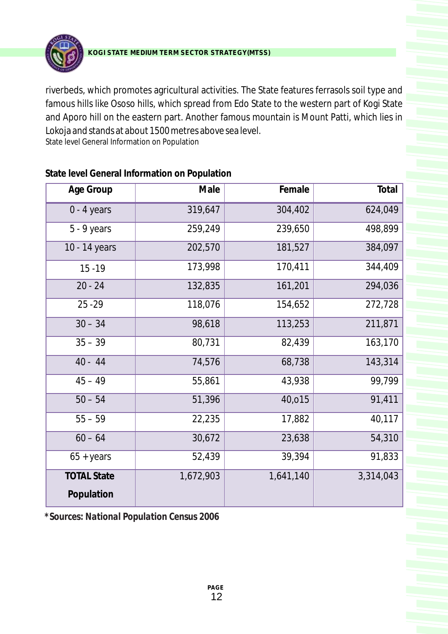

riverbeds, which promotes agricultural activities. The State features ferrasols soil type and famous hills like Ososo hills, which spread from Edo State to the western part of Kogi State and Aporo hill on the eastern part. Another famous mountain is Mount Patti, which lies in Lokoja and stands at about 1500 metres above sea level. State level General Information on Population

| Age Group                        | Male      | Female    | Total     |
|----------------------------------|-----------|-----------|-----------|
| $0 - 4$ years                    | 319,647   | 304,402   | 624,049   |
| 5 - 9 years                      | 259,249   | 239,650   | 498,899   |
| 10 - 14 years                    | 202,570   | 181,527   | 384,097   |
| $15 - 19$                        | 173,998   | 170,411   | 344,409   |
| $20 - 24$                        | 132,835   | 161,201   | 294,036   |
| $25 - 29$                        | 118,076   | 154,652   | 272,728   |
| $30 - 34$                        | 98,618    | 113,253   | 211,871   |
| $35 - 39$                        | 80,731    | 82,439    | 163,170   |
| $40 - 44$                        | 74,576    | 68,738    | 143,314   |
| $45 - 49$                        | 55,861    | 43,938    | 99,799    |
| $50 - 54$                        | 51,396    | 40,015    | 91,411    |
| $55 - 59$                        | 22,235    | 17,882    | 40,117    |
| $60 - 64$                        | 30,672    | 23,638    | 54,310    |
| $65 + years$                     | 52,439    | 39,394    | 91,833    |
| <b>TOTAL State</b><br>Population | 1,672,903 | 1,641,140 | 3,314,043 |

**State level General Information on Population**

*\*Sources: National Population Census 2006*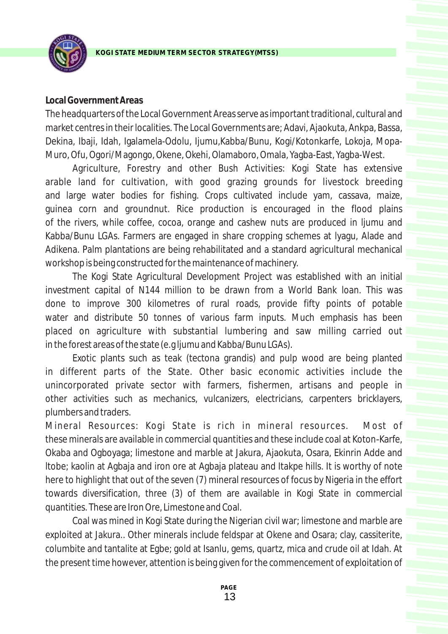

#### **Local Government Areas**

The headquarters of the Local Government Areas serve as important traditional, cultural and market centres in their localities. The Local Governments are; Adavi, Ajaokuta, Ankpa, Bassa, Dekina, Ibaji, Idah, Igalamela-Odolu, Ijumu,Kabba/Bunu, Kogi/Kotonkarfe, Lokoja, Mopa-Muro, Ofu, Ogori/Magongo, Okene, Okehi, Olamaboro, Omala, Yagba-East, Yagba-West.

Agriculture, Forestry and other Bush Activities: Kogi State has extensive arable land for cultivation, with good grazing grounds for livestock breeding and large water bodies for fishing. Crops cultivated include yam, cassava, maize, guinea corn and groundnut. Rice production is encouraged in the flood plains of the rivers, while coffee, cocoa, orange and cashew nuts are produced in ljumu and Kabba/Bunu LGAs. Farmers are engaged in share cropping schemes at lyagu, Alade and Adikena. Palm plantations are being rehabilitated and a standard agricultural mechanical workshop is being constructed for the maintenance of machinery.

The Kogi State Agricultural Development Project was established with an initial investment capital of N144 million to be drawn from a World Bank loan. This was done to improve 300 kilometres of rural roads, provide fifty points of potable water and distribute 50 tonnes of various farm inputs. Much emphasis has been placed on agriculture with substantial lumbering and saw milling carried out in the forest areas of the state (e.g ljumu and Kabba/Bunu LGAs).

Exotic plants such as teak (tectona grandis) and pulp wood are being planted in different parts of the State. Other basic economic activities include the unincorporated private sector with farmers, fishermen, artisans and people in other activities such as mechanics, vulcanizers, electricians, carpenters bricklayers, plumbers and traders.

Mineral Resources: Kogi State is rich in mineral resources. Most of these minerals are available in commercial quantities and these include coal at Koton-Karfe, Okaba and Ogboyaga; limestone and marble at Jakura, Ajaokuta, Osara, Ekinrin Adde and ltobe; kaolin at Agbaja and iron ore at Agbaja plateau and Itakpe hills. It is worthy of note here to highlight that out of the seven (7) mineral resources of focus by Nigeria in the effort towards diversification, three (3) of them are available in Kogi State in commercial quantities. These are Iron Ore, Limestone and Coal.

Coal was mined in Kogi State during the Nigerian civil war; limestone and marble are exploited at Jakura.. Other minerals include feldspar at Okene and Osara; clay, cassiterite, columbite and tantalite at Egbe; gold at Isanlu, gems, quartz, mica and crude oil at Idah. At the present time however, attention is being given for the commencement of exploitation of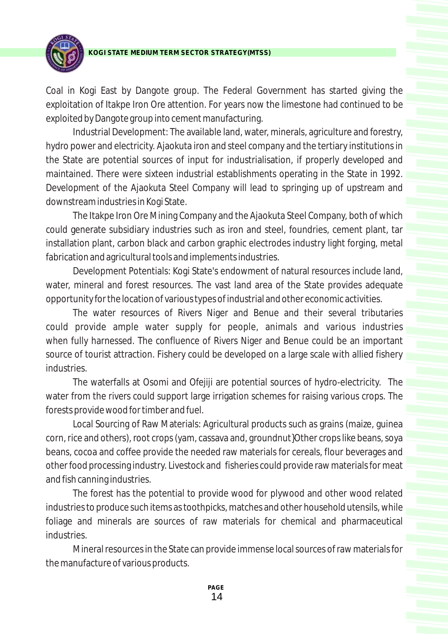

Coal in Kogi East by Dangote group. The Federal Government has started giving the exploitation of Itakpe Iron Ore attention. For years now the limestone had continued to be exploited by Dangote group into cement manufacturing.

Industrial Development: The available land, water, minerals, agriculture and forestry, hydro power and electricity. Ajaokuta iron and steel company and the tertiary institutions in the State are potential sources of input for industrialisation, if properly developed and maintained. There were sixteen industrial establishments operating in the State in 1992. Development of the Ajaokuta Steel Company will lead to springing up of upstream and downstream industries in Kogi State.

The Itakpe Iron Ore Mining Company and the Ajaokuta Steel Company, both of which could generate subsidiary industries such as iron and steel, foundries, cement plant, tar installation plant, carbon black and carbon graphic electrodes industry light forging, metal fabrication and agricultural tools and implements industries.

Development Potentials: Kogi State's endowment of natural resources include land, water, mineral and forest resources. The vast land area of the State provides adequate opportunity for the location of various types of industrial and other economic activities.

The water resources of Rivers Niger and Benue and their several tributaries could provide ample water supply for people, animals and various industries when fully harnessed. The confluence of Rivers Niger and Benue could be an important source of tourist attraction. Fishery could be developed on a large scale with allied fishery industries.

The waterfalls at Osomi and Ofejiji are potential sources of hydro-electricity. The water from the rivers could support large irrigation schemes for raising various crops. The forests provide wood for timber and fuel.

Local Sourcing of Raw Materials: Agricultural products such as grains (maize, guinea corn, rice and others), root crops (yam, cassava and, groundnut}Other crops like beans, soya beans, cocoa and coffee provide the needed raw materials for cereals, flour beverages and other food processing industry. Livestock and fisheries could provide raw materials for meat and fish canning industries.

The forest has the potential to provide wood for plywood and other wood related industries to produce such items as toothpicks, matches and other household utensils, while foliage and minerals are sources of raw materials for chemical and pharmaceutical industries.

Mineral resources in the State can provide immense local sources of raw materials for the manufacture of various products.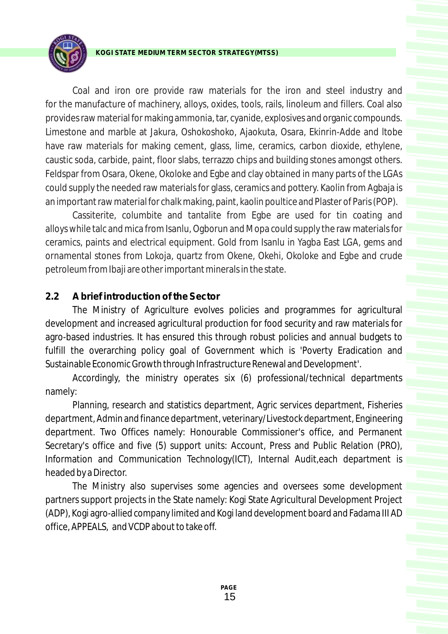

Coal and iron ore provide raw materials for the iron and steel industry and for the manufacture of machinery, alloys, oxides, tools, rails, linoleum and fillers. Coal also provides raw material for making ammonia, tar, cyanide, explosives and organic compounds. Limestone and marble at Jakura, Oshokoshoko, Ajaokuta, Osara, Ekinrin-Adde and ltobe have raw materials for making cement, glass, lime, ceramics, carbon dioxide, ethylene, caustic soda, carbide, paint, floor slabs, terrazzo chips and building stones amongst others. Feldspar from Osara, Okene, Okoloke and Egbe and clay obtained in many parts of the LGAs could supply the needed raw materials for glass, ceramics and pottery. Kaolin from Agbaja is an important raw material for chalk making, paint, kaolin poultice and Plaster of Paris (POP).

Cassiterite, columbite and tantalite from Egbe are used for tin coating and alloys while talc and mica from Isanlu, Ogborun and Mopa could supply the raw materials for ceramics, paints and electrical equipment. Gold from Isanlu in Yagba East LGA, gems and ornamental stones from Lokoja, quartz from Okene, Okehi, Okoloke and Egbe and crude petroleum from Ibaji are other important minerals in the state.

# **2.2 Abrief introduction of the Sector**

The Ministry of Agriculture evolves policies and programmes for agricultural development and increased agricultural production for food security and raw materials for agro-based industries. It has ensured this through robust policies and annual budgets to fulfill the overarching policy goal of Government which is 'Poverty Eradication and Sustainable Economic Growth through Infrastructure Renewal and Development'.

Accordingly, the ministry operates six (6) professional/technical departments namely:

Planning, research and statistics department, Agric services department, Fisheries department, Admin and finance department, veterinary/Livestock department, Engineering department. Two Offices namely: Honourable Commissioner's office, and Permanent Secretary's office and five (5) support units: Account, Press and Public Relation (PRO), Information and Communication Technology(ICT), Internal Audit,each department is headed by a Director.

The Ministry also supervises some agencies and oversees some development partners support projects in the State namely: Kogi State Agricultural Development Project (ADP), Kogi agro-allied company limited and Kogi land development board and Fadama III AD office, APPEALS, and VCDP about to take off.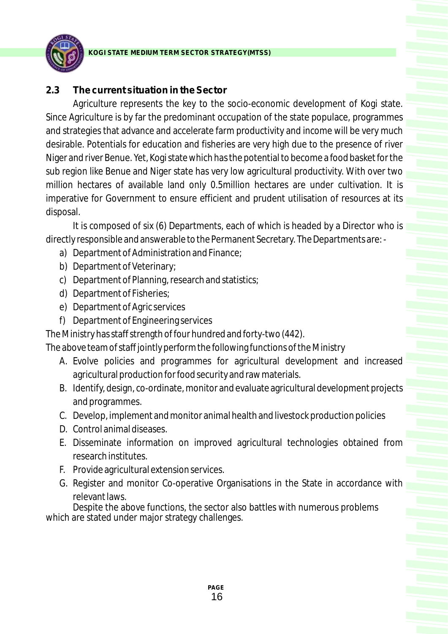

# **2.3 The current situation in the Sector**

Agriculture represents the key to the socio-economic development of Kogi state. Since Agriculture is by far the predominant occupation of the state populace, programmes and strategies that advance and accelerate farm productivity and income will be very much desirable. Potentials for education and fisheries are very high due to the presence of river Niger and river Benue. Yet, Kogi state which has the potential to become a food basket for the sub region like Benue and Niger state has very low agricultural productivity. With over two million hectares of available land only 0.5million hectares are under cultivation. It is imperative for Government to ensure efficient and prudent utilisation of resources at its disposal.

It is composed of six (6) Departments, each of which is headed by a Director who is directly responsible and answerable to the Permanent Secretary. The Departments are: -

- a) Department of Administration and Finance;
- b) Department of Veterinary;
- c) Department of Planning, research and statistics;
- d) Department of Fisheries;
- e) Department of Agric services
- f) Department of Engineering services

The Ministry has staff strength of four hundred and forty-two (442).

The above team of staff jointly perform the following functions of the Ministry

- A. Evolve policies and programmes for agricultural development and increased agricultural production for food security and raw materials.
- B. Identify, design, co-ordinate, monitor and evaluate agricultural development projects and programmes.
- C. Develop, implement and monitor animal health and livestock production policies
- D. Control animal diseases.
- E. Disseminate information on improved agricultural technologies obtained from research institutes.
- F. Provide agricultural extension services.
- G. Register and monitor Co-operative Organisations in the State in accordance with relevant laws.

Despite the above functions, the sector also battles with numerous problems which are stated under major strategy challenges.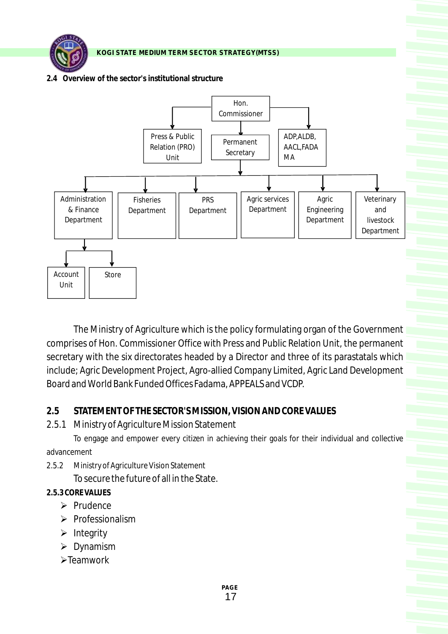**2.4 Overview of the sector's institutional structure**



The Ministry of Agriculture which is the policy formulating organ of the Government comprises of Hon. Commissioner Office with Press and Public Relation Unit, the permanent secretary with the six directorates headed by a Director and three of its parastatals which include; Agric Development Project, Agro-allied Company Limited, Agric Land Development Board and World Bank Funded Offices Fadama, APPEALS and VCDP.

#### **2.5 STATEMENT OF THE SECTOR'S MISSION, VISION AND CORE VALUES**

2.5.1 Ministry of Agriculture Mission Statement

To engage and empower every citizen in achieving their goals for their individual and collective advancement

2.5.2 Ministry of Agriculture Vision Statement To secure the future of all in the State.

#### **2.5.3 CORE VALUES**

- Ø Prudence
- Ø Professionalism
- Ø Integrity
- Ø Dynamism
- Ø Teamwork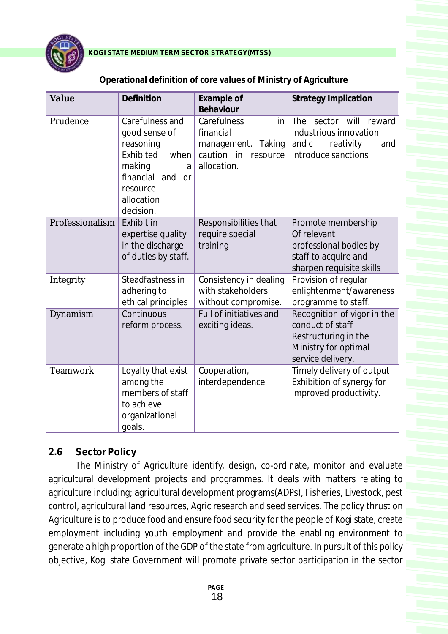

| Operational definition of core values of Ministry of Agriculture |                                                                                                                                              |                                                                                                  |                                                                                                                      |  |  |  |  |  |
|------------------------------------------------------------------|----------------------------------------------------------------------------------------------------------------------------------------------|--------------------------------------------------------------------------------------------------|----------------------------------------------------------------------------------------------------------------------|--|--|--|--|--|
| Value                                                            | Definition                                                                                                                                   | Example of<br>Behaviour                                                                          | <b>Strategy Implication</b>                                                                                          |  |  |  |  |  |
| Prudence                                                         | Carefulness and<br>good sense of<br>reasoning<br>Exhibited<br>when<br>making<br>a<br>financial and or<br>resource<br>allocation<br>decision. | Carefulness<br>in<br>financial<br>management.<br>Taking<br>caution in<br>resource<br>allocation. | sector will<br>reward<br><b>The</b><br>industrious innovation<br>and c<br>reativity<br>and<br>introduce sanctions    |  |  |  |  |  |
| Professionalism                                                  | Exhibit in<br>expertise quality<br>in the discharge<br>of duties by staff.                                                                   | Responsibilities that<br>require special<br>training                                             | Promote membership<br>Of relevant<br>professional bodies by<br>staff to acquire and<br>sharpen requisite skills      |  |  |  |  |  |
| Integrity                                                        | Steadfastness in<br>adhering to<br>ethical principles                                                                                        | Consistency in dealing<br>with stakeholders<br>without compromise.                               | Provision of regular<br>enlightenment/awareness<br>programme to staff.                                               |  |  |  |  |  |
| Dynamism                                                         | Continuous<br>reform process.                                                                                                                | <b>Full of initiatives and</b><br>exciting ideas.                                                | Recognition of vigor in the<br>conduct of staff<br>Restructuring in the<br>Ministry for optimal<br>service delivery. |  |  |  |  |  |
| <b>Teamwork</b>                                                  | Loyalty that exist<br>among the<br>members of staff<br>to achieve<br>organizational<br>goals.                                                | Cooperation,<br>interdependence                                                                  | Timely delivery of output<br>Exhibition of synergy for<br>improved productivity.                                     |  |  |  |  |  |

**Operational definition of core values of Ministry of Agriculture**

# **2.6 Sector Policy**

The Ministry of Agriculture identify, design, co-ordinate, monitor and evaluate agricultural development projects and programmes. It deals with matters relating to agriculture including; agricultural development programs(ADPs), Fisheries, Livestock, pest control, agricultural land resources, Agric research and seed services. The policy thrust on Agriculture is to produce food and ensure food security for the people of Kogi state, create employment including youth employment and provide the enabling environment to generate a high proportion of the GDP of the state from agriculture. In pursuit of this policy objective, Kogi state Government will promote private sector participation in the sector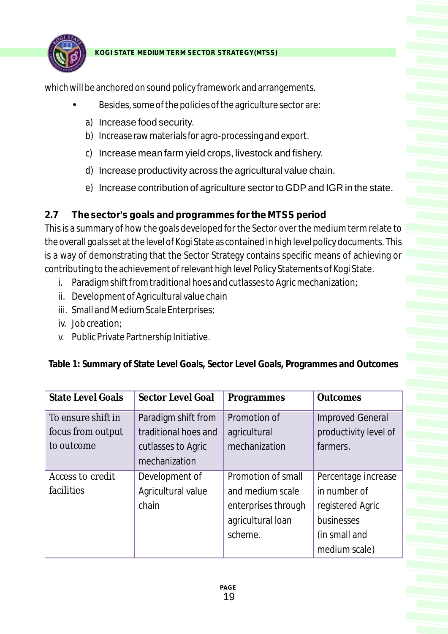

which will be anchored on sound policy framework and arrangements.

- Besides, some of the policies of the agriculture sector are:
	- a) Increase food security.
	- b) Increase raw materials for agro-processing and export.
	- c) Increase mean farm yield crops, livestock and fishery.
	- d) Increase productivity across the agricultural value chain.
	- e) Increase contribution of agriculture sector to GDPand IGR in the state.

# **2.7 The sector's goals and programmes for the MTSS period**

This is a summary of how the goals developed for the Sector over the medium term relate to the overall goals set at the level of Kogi State as contained in high level policy documents. This is a way of demonstrating that the Sector Strategy contains specific means of achieving or contributing to the achievement of relevant high level Policy Statements of Kogi State.

- i. Paradigm shift from traditional hoes and cutlasses to Agric mechanization;
- ii. Development of Agricultural value chain
- iii. Small and Medium Scale Enterprises;
- iv. Job creation;
- v. Public Private Partnership Initiative.

| <b>State Level Goals</b> | Sector Level Goal    | Programmes          | <b>Outcomes</b>         |
|--------------------------|----------------------|---------------------|-------------------------|
| To ensure shift in       | Paradigm shift from  | Promotion of        | <b>Improved General</b> |
| focus from output        | traditional hoes and | agricultural        | productivity level of   |
| to outcome               | cutlasses to Agric   | mechanization       | farmers.                |
|                          | mechanization        |                     |                         |
| Access to credit         | Development of       | Promotion of small  | Percentage increase     |
| facilities               | Agricultural value   | and medium scale    | in number of            |
|                          | chain                | enterprises through | registered Agric        |
|                          |                      | agricultural loan   | businesses              |
|                          |                      | scheme.             | (in small and           |
|                          |                      |                     | medium scale)           |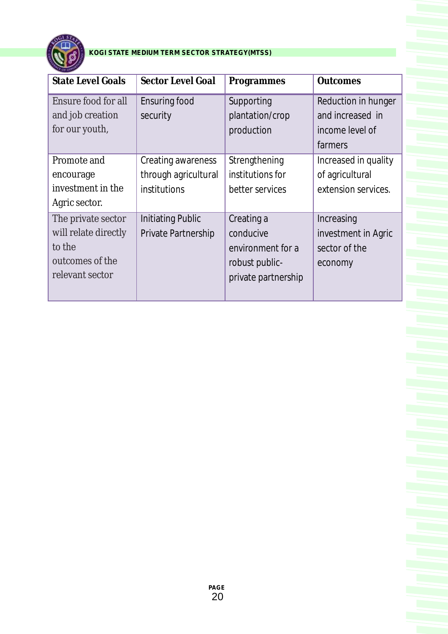

| <b>State Level Goals</b>                                                                   | <b>Sector Level Goal</b>                                   | Programmes                                                                            | <b>Outcomes</b>                                                       |
|--------------------------------------------------------------------------------------------|------------------------------------------------------------|---------------------------------------------------------------------------------------|-----------------------------------------------------------------------|
| Ensure food for all<br>and job creation<br>for our youth,                                  | <b>Ensuring food</b><br>security                           | Supporting<br>plantation/crop<br>production                                           | Reduction in hunger<br>and increased in<br>income level of<br>farmers |
| Promote and<br>encourage<br>investment in the<br>Agric sector.                             | Creating awareness<br>through agricultural<br>institutions | Strengthening<br>institutions for<br>better services                                  | Increased in quality<br>of agricultural<br>extension services.        |
| The private sector<br>will relate directly<br>to the<br>outcomes of the<br>relevant sector | <b>Initiating Public</b><br>Private Partnership            | Creating a<br>conducive<br>environment for a<br>robust public-<br>private partnership | Increasing<br>investment in Agric<br>sector of the<br>economy         |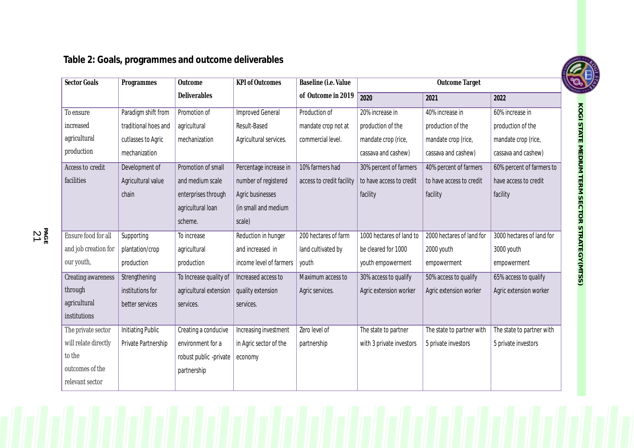**Table 2: Goals, programmes and outcome deliverables**

| Sector Goals               | Programmes               | Outcome                | <b>KPI</b> of Outcomes  | Baseline (i.e. Value      |                          | <b>Outcome Target</b>     |                           |
|----------------------------|--------------------------|------------------------|-------------------------|---------------------------|--------------------------|---------------------------|---------------------------|
|                            |                          | Deliverables           |                         | of Outcome in 2019        | 2020                     | 2021                      | 2022                      |
| To ensure                  | Paradigm shift from      | Promotion of           | <b>Improved General</b> | Production of             | 20% increase in          | 40% increase in           | 60% increase in           |
| increased                  | traditional hoes and     | agricultural           | Result-Based            | mandate crop not at       | production of the        | production of the         | production of the         |
| agricultural               | cutlasses to Agric       | mechanization          | Agricultural services.  | commercial level.         | mandate crop (rice,      | mandate crop (rice,       | mandate crop (rice,       |
| production                 | mechanization            |                        |                         |                           | cassava and cashew)      | cassava and cashew)       | cassava and cashew)       |
| Access to credit           | Development of           | Promotion of small     | Percentage increase in  | 10% farmers had           | 30% percent of farmers   | 40% percent of farmers    | 60% percent of farmers to |
| facilities                 | Agricultural value       | and medium scale       | number of registered    | access to credit facility | to have access to credit | to have access to credit  | have access to credit     |
|                            | chain                    | enterprises through    | Agric businesses        |                           | facility                 | facility                  | facility                  |
|                            |                          | agricultural loan      | (in small and medium    |                           |                          |                           |                           |
|                            |                          | scheme.                | scale)                  |                           |                          |                           |                           |
| <b>Ensure food for all</b> | Supporting               | To increase            | Reduction in hunger     | 200 hectares of farm      | 1000 hectares of land to | 2000 hectares of land for | 3000 hectares of land for |
| and job creation for       | plantation/crop          | agricultural           | and increased in        | land cultivated by        | be cleared for 1000      | 2000 youth                | 3000 youth                |
| our youth,                 | production               | production             | income level of farmers | youth                     | youth empowerment        | empowerment               | empowerment               |
| <b>Creating awareness</b>  | Strengthening            | To Increase quality of | Increased access to     | Maximum access to         | 30% access to qualify    | 50% access to qualify     | 65% access to qualify     |
| through                    | institutions for         | agricultural extension | quality extension       | Agric services.           | Agric extension worker   | Agric extension worker    | Agric extension worker    |
| agricultural               | better services          | services.              | services.               |                           |                          |                           |                           |
| institutions               |                          |                        |                         |                           |                          |                           |                           |
| The private sector         | <b>Initiating Public</b> | Creating a conducive   | Increasing investment   | Zero level of             | The state to partner     | The state to partner with | The state to partner with |
| will relate directly       | Private Partnership      | environment for a      | in Agric sector of the  | partnership               | with 3 private investors | 5 private investors       | 5 private investors       |
| to the                     |                          | robust public -private | economy                 |                           |                          |                           |                           |
| outcomes of the            |                          | partnership            |                         |                           |                          |                           |                           |
| relevant sector            |                          |                        |                         |                           |                          |                           |                           |



**PA GE** 21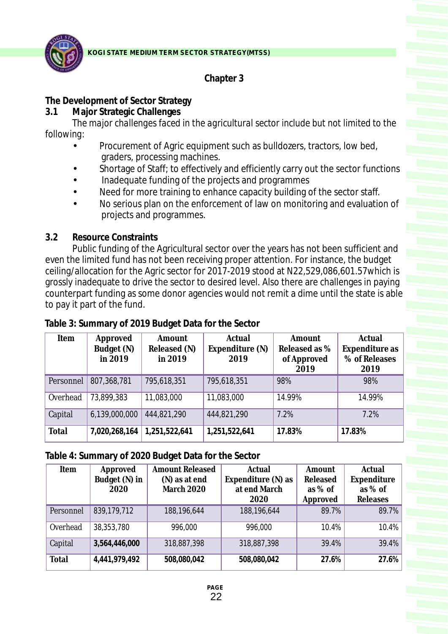

# **Chapter 3**

# **The Development of Sector Strategy**

**3.1 Major Strategic Challenges**

*The major challenges faced in the agricultural sector include but not limited to the following:*

- •Procurement of Agric equipment such as bulldozers, tractors, low bed,
- graders, processing machines.<br>Shortage of Staff; to effectively •Shortage of Staff; to effectively and efficiently carry out the sector functions
- 
- Inadequate funding of the projects and programmes<br>Need for more training to enhance capacity building of the sector staff.
- •Need for more training to enhance capacity building of the sector staff. No serious plan on the enforcement of law on monitoring and evaluation of projects and programmes.

#### **3.2 Resource Constraints**

Public funding of the Agricultural sector over the years has not been sufficient and even the limited fund has not been receiving proper attention. For instance, the budget ceiling/allocation for the Agric sector for 2017-2019 stood at N22,529,086,601.57which is grossly inadequate to drive the sector to desired level. Also there are challenges in paying counterpart funding as some donor agencies would not remit a dime until the state is able to pay it part of the fund.

| Item      | Approved      | Amount        | Actual          | Amount        | Actual         |
|-----------|---------------|---------------|-----------------|---------------|----------------|
|           | Budget (N)    | Released (N)  | Expenditure (N) | Released as % | Expenditure as |
|           | in 2019       | in 2019       | 2019            | of Approved   | % of Releases  |
|           |               |               |                 | 2019          | 2019           |
| Personnel | 807,368,781   | 795,618,351   | 795,618,351     | 98%           | 98%            |
| Overhead  | 73,899,383    | 11,083,000    | 11,083,000      | 14.99%        | 14.99%         |
| Capital   | 6,139,000,000 | 444,821,290   | 444,821,290     | 7.2%          | 7.2%           |
| Total     | 7,020,268,164 | 1,251,522,641 | 1,251,522,641   | 17.83%        | 17.83%         |

### **Table 3: Summary of 2019 Budget Data for the Sector**

**Table 4: Summary of 2020 Budget Data for the Sector**

| Item      | Approved      | <b>Amount Released</b> | Actual             | Amount    | Actual      |
|-----------|---------------|------------------------|--------------------|-----------|-------------|
|           | Budget (N) in | (N) as at end          | Expenditure (N) as | Released  | Expenditure |
|           | 2020          | March 2020             | at end March       | as $%$ of | as $%$ of   |
|           |               |                        | 2020               | Approved  | Releases    |
| Personnel | 839,179,712   | 188, 196, 644          | 188,196,644        | 89.7%     | 89.7%       |
| Overhead  | 38,353,780    | 996,000                | 996,000            | 10.4%     | 10.4%       |
| Capital   | 3,564,446,000 | 318,887,398            | 318,887,398        | 39.4%     | 39.4%       |
| Total     | 4,441,979,492 | 508,080,042            | 508,080,042        | 27.6%     | 27.6%       |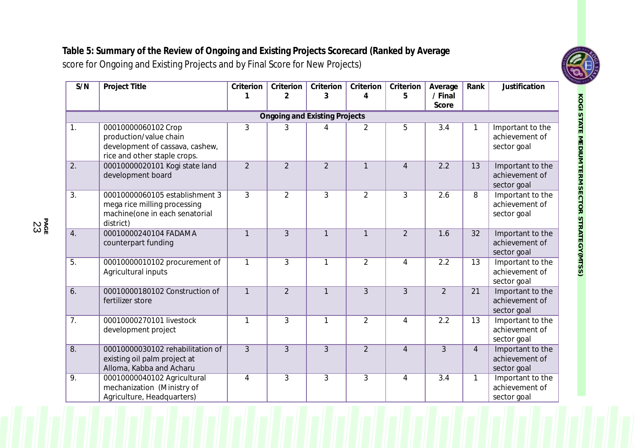**Table 5: Summary of the Review of Ongoing and Existing Projects Scorecard (Ranked by Average**  score for Ongoing and Existing Projects and by Final Score for New Projects)

| S/N              | Project Title                                                                                                    | Criterion<br>1 | Criterion<br>$\overline{2}$          | Criterion<br>3 | Criterion<br>4 | Criterion<br>5 | Average<br>/ Final | Rank           | Justification                                     |
|------------------|------------------------------------------------------------------------------------------------------------------|----------------|--------------------------------------|----------------|----------------|----------------|--------------------|----------------|---------------------------------------------------|
|                  |                                                                                                                  |                |                                      |                |                |                | Score              |                |                                                   |
|                  |                                                                                                                  |                | <b>Ongoing and Existing Projects</b> |                |                |                |                    |                |                                                   |
| 1.               | 00010000060102 Crop<br>production/value chain<br>development of cassava, cashew,<br>rice and other staple crops. | 3              | 3                                    | 4              | 2              | 5              | 3.4                | 1              | Important to the<br>achievement of<br>sector goal |
| 2.               | 00010000020101 Kogi state land<br>development board                                                              | $\overline{2}$ | $\overline{2}$                       | $\overline{2}$ | $\mathbf{1}$   | $\overline{4}$ | 2.2                | 13             | Important to the<br>achievement of<br>sector goal |
| $\overline{3}$ . | 00010000060105 establishment 3<br>mega rice milling processing<br>machine(one in each senatorial<br>district)    | 3              | $\overline{2}$                       | 3              | $\overline{2}$ | 3              | $\overline{2.6}$   | 8              | Important to the<br>achievement of<br>sector goal |
| 4.               | 00010000240104 FADAMA<br>counterpart funding                                                                     | $\mathbf{1}$   | $\overline{3}$                       | $\mathbf{1}$   | $\mathbf{1}$   | $\overline{2}$ | 1.6                | 32             | Important to the<br>achievement of<br>sector goal |
| 5.               | 00010000010102 procurement of<br>Agricultural inputs                                                             | $\mathbf{1}$   | 3                                    | $\mathbf{1}$   | $\overline{2}$ | 4              | 2.2                | 13             | Important to the<br>achievement of<br>sector goal |
| 6.               | 00010000180102 Construction of<br>fertilizer store                                                               | $\mathbf{1}$   | $\overline{2}$                       | $\mathbf{1}$   | $\overline{3}$ | $\overline{3}$ | $\overline{2}$     | 21             | Important to the<br>achievement of<br>sector goal |
| 7.               | 00010000270101 livestock<br>development project                                                                  | 1              | 3                                    | $\mathbf{1}$   | $\overline{2}$ | $\overline{4}$ | 2.2                | 13             | Important to the<br>achievement of<br>sector goal |
| 8.               | 00010000030102 rehabilitation of<br>existing oil palm project at<br>Alloma, Kabba and Acharu                     | 3              | $\overline{3}$                       | 3              | $\overline{2}$ | $\overline{4}$ | 3                  | $\overline{4}$ | Important to the<br>achievement of<br>sector goal |
| $\overline{9}$ . | 00010000040102 Agricultural<br>mechanization (Ministry of<br>Agriculture, Headquarters)                          | 4              | $\overline{3}$                       | $\overline{3}$ | $\overline{3}$ | $\overline{4}$ | $\overline{3.4}$   | 1              | Important to the<br>achievement of<br>sector goal |

**PA** ន<br>កូម<br>ស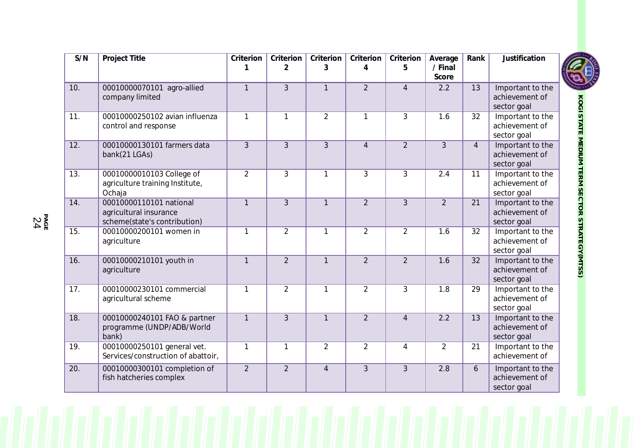| S/N               | Project Title                                                                     | Criterion      | Criterion<br>2 | Criterion<br>3 | Criterion<br>4 | Criterion<br>5 | Average<br>/ Final | Rank            | Justification                                     |
|-------------------|-----------------------------------------------------------------------------------|----------------|----------------|----------------|----------------|----------------|--------------------|-----------------|---------------------------------------------------|
|                   |                                                                                   |                |                |                |                |                | Score              |                 |                                                   |
| 10.               | 00010000070101 agro-allied<br>company limited                                     | $\mathbf{1}$   | 3              | $\mathbf{1}$   | $\overline{2}$ | $\overline{4}$ | 2.2                | 13              | Important to the<br>achievement of<br>sector goal |
| 11.               | 00010000250102 avian influenza<br>control and response                            | $\mathbf{1}$   | $\mathbf{1}$   | $\overline{2}$ | 1              | 3              | 1.6                | 32              | Important to the<br>achievement of<br>sector goal |
| 12.               | 00010000130101 farmers data<br>bank(21 LGAs)                                      | 3              | 3              | $\overline{3}$ | $\overline{4}$ | $\overline{2}$ | $\overline{3}$     | $\overline{4}$  | Important to the<br>achievement of<br>sector goal |
| 13.               | 00010000010103 College of<br>agriculture training Institute,<br>Ochaja            | 2              | 3              | $\mathbf{1}$   | 3              | 3              | 2.4                | 11              | Important to the<br>achievement of<br>sector goal |
| 14.               | 00010000110101 national<br>agricultural insurance<br>scheme(state's contribution) | $\mathbf{1}$   | $\overline{3}$ | $\mathbf{1}$   | $\overline{2}$ | 3              | $\overline{2}$     | 21              | Important to the<br>achievement of<br>sector goal |
| 15.               | 00010000200101 women in<br>agriculture                                            | $\mathbf{1}$   | $\overline{2}$ | $\mathbf{1}$   | $\overline{2}$ | $\overline{2}$ | 1.6                | 32              | Important to the<br>achievement of<br>sector goal |
| 16.               | 00010000210101 youth in<br>agriculture                                            | $\mathbf{1}$   | $\overline{2}$ | $\mathbf{1}$   | $\overline{2}$ | $\overline{2}$ | 1.6                | $\overline{32}$ | Important to the<br>achievement of<br>sector goal |
| 17.               | 00010000230101 commercial<br>agricultural scheme                                  | $\mathbf{1}$   | $\overline{2}$ | $\mathbf{1}$   | $\overline{2}$ | 3              | 1.8                | 29              | Important to the<br>achievement of<br>sector goal |
| $\overline{18}$ . | 00010000240101 FAO & partner<br>programme (UNDP/ADB/World<br>bank)                | $\mathbf{1}$   | 3              | $\mathbf{1}$   | $\overline{2}$ | $\overline{4}$ | 2.2                | $\overline{13}$ | Important to the<br>achievement of<br>sector goal |
| 19.               | 00010000250101 general vet.<br>Services/construction of abattoir,                 | $\mathbf{1}$   | $\mathbf{1}$   | $\overline{2}$ | $\overline{2}$ | 4              | 2                  | 21              | Important to the<br>achievement of                |
| 20.               | 00010000300101 completion of<br>fish hatcheries complex                           | $\overline{2}$ | $\overline{2}$ | $\overline{4}$ | 3              | $\overline{3}$ | $\overline{2.8}$   | 6               | Important to the<br>achievement of<br>sector goal |



**PAGE** 24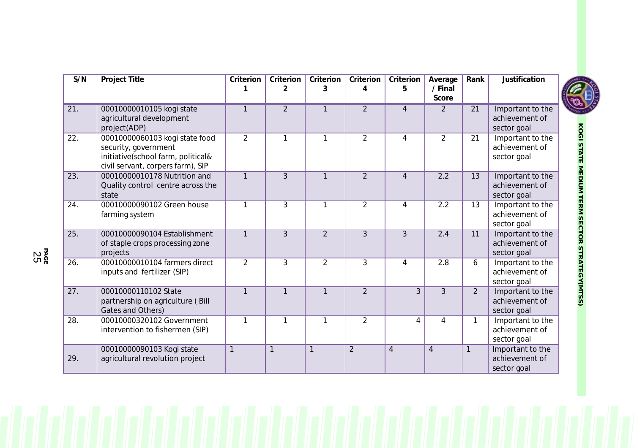| S/N | Project Title                                                                                                                     | Criterion      | Criterion<br>$\overline{2}$ | Criterion<br>3 | Criterion<br>4 | Criterion<br>5 | Average<br>/ Final<br>Score | Rank            | Justification                                     |
|-----|-----------------------------------------------------------------------------------------------------------------------------------|----------------|-----------------------------|----------------|----------------|----------------|-----------------------------|-----------------|---------------------------------------------------|
| 21. | 00010000010105 kogi state<br>agricultural development<br>project(ADP)                                                             |                | $\overline{2}$              | $\mathbf{1}$   | $\overline{2}$ | 4              | 2                           | 21              | Important to the<br>achievement of<br>sector goal |
| 22. | 00010000060103 kogi state food<br>security, government<br>initiative(school farm, political&<br>civil servant, corpers farm), SIP | $\overline{2}$ | 1                           | 1              | $\overline{2}$ | 4              | 2                           | 21              | Important to the<br>achievement of<br>sector goal |
| 23. | 00010000010178 Nutrition and<br>Quality control centre across the<br>state                                                        | $\mathbf{1}$   | 3                           | $\mathbf{1}$   | $\overline{2}$ | $\overline{4}$ | 2.2                         | $\overline{13}$ | Important to the<br>achievement of<br>sector goal |
| 24. | 00010000090102 Green house<br>farming system                                                                                      | 1              | 3                           | $\mathbf{1}$   | $\overline{2}$ | 4              | 2.2                         | 13              | Important to the<br>achievement of<br>sector goal |
| 25. | 00010000090104 Establishment<br>of staple crops processing zone<br>projects                                                       | $\mathbf{1}$   | 3                           | $\overline{2}$ | 3              | 3              | 2.4                         | 11              | Important to the<br>achievement of<br>sector goal |
| 26. | 00010000010104 farmers direct<br>inputs and fertilizer (SIP)                                                                      | $\overline{2}$ | 3                           | $\overline{2}$ | 3              | 4              | 2.8                         | 6               | Important to the<br>achievement of<br>sector goal |
| 27. | 00010000110102 State<br>partnership on agriculture (Bill<br>Gates and Others)                                                     | $\mathbf{1}$   | $\mathbf{1}$                | $\mathbf{1}$   | $\overline{2}$ | 3              | 3                           | $\overline{2}$  | Important to the<br>achievement of<br>sector goal |
| 28. | 00010000320102 Government<br>intervention to fishermen (SIP)                                                                      | 1              | 1                           | 1              | $\overline{2}$ | 4              | 4                           | $\mathbf{1}$    | Important to the<br>achievement of<br>sector goal |
| 29. | 00010000090103 Kogi state<br>agricultural revolution project                                                                      | $\mathbf{1}$   | $\mathbf{1}$                | $\mathbf{1}$   | $\overline{2}$ | $\overline{4}$ | $\overline{4}$              | $\mathbf{1}$    | Important to the<br>achievement of<br>sector goal |



**PAGE** 25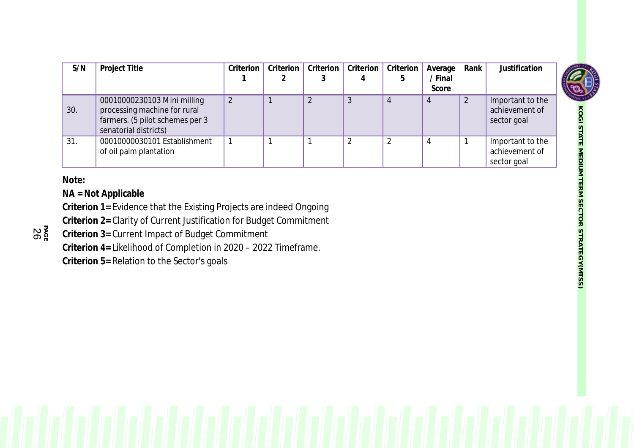| S/N | Project Title                                                                                                           | Criterion | Criterion | Criterion | Criterion | Criterion | Average | Rank | Justification                                     |
|-----|-------------------------------------------------------------------------------------------------------------------------|-----------|-----------|-----------|-----------|-----------|---------|------|---------------------------------------------------|
|     |                                                                                                                         |           |           |           |           |           | / Final |      |                                                   |
|     |                                                                                                                         |           |           |           |           |           | Score   |      |                                                   |
| 30. | 00010000230103 Mini milling<br>processing machine for rural<br>farmers. (5 pilot schemes per 3<br>senatorial districts) | 2         |           |           |           |           |         |      | Important to the<br>achievement of<br>sector goal |
| 31. | 00010000030101 Establishment<br>of oil palm plantation                                                                  |           |           |           |           |           |         |      | Important to the<br>achievement of<br>sector goal |

**Note:**

**PA GE** 2 6 **NA = Not Applicable**

**Criterion 1=** Evidence that the Existing Projects are indeed Ongoing

**Criterion 2=** Clarity of Current Justification for Budget Commitment

**Criterion 3=** Current Impact of Budget Commitment

**Criterion 4=** Likelihood of Completion in 2020 – 2022 Timeframe.

**Criterion 5=** Relation to the Sector's goals

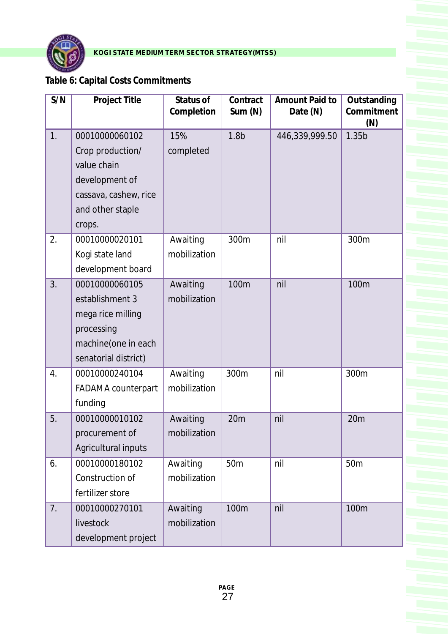

# **Table 6: Capital Costs Commitments**

| S/N              | Project Title                                                                                                              | Status of<br>Completion  | Contract<br>Sum (N) | Amount Paid to<br>Date (N) | Outstanding<br>Commitment<br>(N) |
|------------------|----------------------------------------------------------------------------------------------------------------------------|--------------------------|---------------------|----------------------------|----------------------------------|
| 1.               | 00010000060102<br>Crop production/<br>value chain<br>development of<br>cassava, cashew, rice<br>and other staple<br>crops. | 15%<br>completed         | 1.8 <sub>b</sub>    | 446,339,999.50             | 1.35b                            |
| 2.               | 00010000020101<br>Kogi state land<br>development board                                                                     | Awaiting<br>mobilization | 300m                | nil                        | 300m                             |
| 3.               | 00010000060105<br>establishment 3<br>mega rice milling<br>processing<br>machine(one in each<br>senatorial district)        | Awaiting<br>mobilization | 100m                | nil                        | 100m                             |
| $\overline{4}$ . | 00010000240104<br><b>FADAMA</b> counterpart<br>funding                                                                     | Awaiting<br>mobilization | 300m                | nil                        | 300m                             |
| 5.               | 00010000010102<br>procurement of<br>Agricultural inputs                                                                    | Awaiting<br>mobilization | 20m                 | nil                        | 20 <sub>m</sub>                  |
| 6.               | 00010000180102<br>Construction of<br>fertilizer store                                                                      | Awaiting<br>mobilization | 50 <sub>m</sub>     | nil                        | 50 <sub>m</sub>                  |
| 7.               | 00010000270101<br>livestock<br>development project                                                                         | Awaiting<br>mobilization | 100m                | nil                        | 100m                             |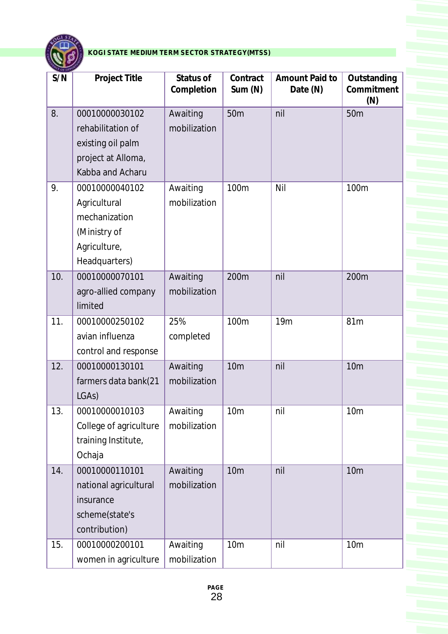

| <b>LOLOT</b><br>S/N | Project Title                                                                                      | Status of<br>Completion  | Contract<br>Sum(N) | Amount Paid to<br>Date (N) | Outstanding<br>Commitment<br>(N) |
|---------------------|----------------------------------------------------------------------------------------------------|--------------------------|--------------------|----------------------------|----------------------------------|
| 8.                  | 00010000030102<br>rehabilitation of<br>existing oil palm<br>project at Alloma,<br>Kabba and Acharu | Awaiting<br>mobilization | 50 <sub>m</sub>    | nil                        | 50 <sub>m</sub>                  |
| 9.                  | 00010000040102<br>Agricultural<br>mechanization<br>(Ministry of<br>Agriculture,<br>Headquarters)   | Awaiting<br>mobilization | 100m               | Nil                        | 100m                             |
| 10.                 | 00010000070101<br>agro-allied company<br>limited                                                   | Awaiting<br>mobilization | 200m               | nil                        | 200m                             |
| 11.                 | 00010000250102<br>avian influenza<br>control and response                                          | 25%<br>completed         | 100m               | 19 <sub>m</sub>            | 81m                              |
| 12.                 | 00010000130101<br>farmers data bank(21<br>LGAs)                                                    | Awaiting<br>mobilization | <b>10m</b>         | nil                        | 10 <sub>m</sub>                  |
| 13.                 | 00010000010103<br>College of agriculture<br>training Institute,<br>Ochaja                          | Awaiting<br>mobilization | 10 <sub>m</sub>    | nil                        | 10 <sub>m</sub>                  |
| 14.                 | 00010000110101<br>national agricultural<br>insurance<br>scheme(state's<br>contribution)            | Awaiting<br>mobilization | <b>10m</b>         | nil                        | 10 <sub>m</sub>                  |
| 15.                 | 00010000200101<br>women in agriculture                                                             | Awaiting<br>mobilization | 10 <sub>m</sub>    | nil                        | 10 <sub>m</sub>                  |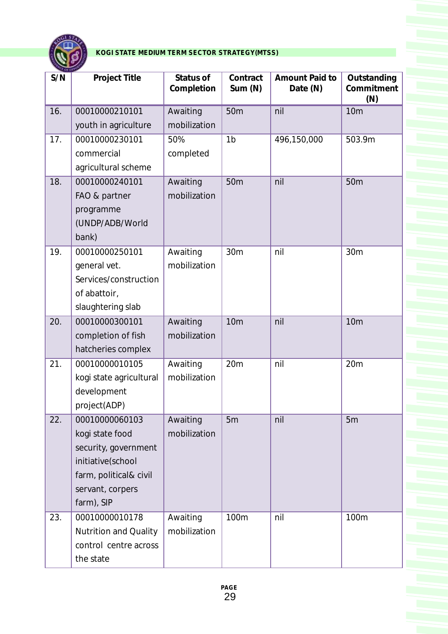

| <b>LE OF OTT</b> |                         |                         |                     |                            |                                  |
|------------------|-------------------------|-------------------------|---------------------|----------------------------|----------------------------------|
| S/N              | Project Title           | Status of<br>Completion | Contract<br>Sum (N) | Amount Paid to<br>Date (N) | Outstanding<br>Commitment<br>(N) |
| 16.              | 00010000210101          | Awaiting                | 50 <sub>m</sub>     | nil                        | <b>10m</b>                       |
|                  | youth in agriculture    | mobilization            |                     |                            |                                  |
| 17.              | 00010000230101          | 50%                     | 1 <sub>b</sub>      | 496,150,000                | 503.9m                           |
|                  | commercial              | completed               |                     |                            |                                  |
|                  | agricultural scheme     |                         |                     |                            |                                  |
| 18.              | 00010000240101          | Awaiting                | 50m                 | nil                        | 50 <sub>m</sub>                  |
|                  | FAO & partner           | mobilization            |                     |                            |                                  |
|                  | programme               |                         |                     |                            |                                  |
|                  | (UNDP/ADB/World         |                         |                     |                            |                                  |
|                  | bank)                   |                         |                     |                            |                                  |
| 19.              | 00010000250101          | Awaiting                | 30 <sub>m</sub>     | nil                        | 30m                              |
|                  | general vet.            | mobilization            |                     |                            |                                  |
|                  | Services/construction   |                         |                     |                            |                                  |
|                  | of abattoir,            |                         |                     |                            |                                  |
|                  | slaughtering slab       |                         |                     |                            |                                  |
| 20.              | 00010000300101          | Awaiting                | <b>10m</b>          | nil                        | 10 <sub>m</sub>                  |
|                  | completion of fish      | mobilization            |                     |                            |                                  |
|                  | hatcheries complex      |                         |                     |                            |                                  |
| 21.              | 00010000010105          | Awaiting                | 20m                 | nil                        | 20m                              |
|                  | kogi state agricultural | mobilization            |                     |                            |                                  |
|                  | development             |                         |                     |                            |                                  |
|                  | project(ADP)            |                         |                     |                            |                                  |
| 22.              | 00010000060103          | Awaiting                | 5m                  | nil                        | 5m                               |
|                  | kogi state food         | mobilization            |                     |                            |                                  |
|                  | security, government    |                         |                     |                            |                                  |
|                  | initiative(school       |                         |                     |                            |                                  |
|                  | farm, political& civil  |                         |                     |                            |                                  |
|                  | servant, corpers        |                         |                     |                            |                                  |
|                  | farm), SIP              |                         |                     |                            |                                  |
| 23.              | 00010000010178          | Awaiting                | 100m                | nil                        | 100m                             |
|                  | Nutrition and Quality   | mobilization            |                     |                            |                                  |
|                  | control centre across   |                         |                     |                            |                                  |
|                  | the state               |                         |                     |                            |                                  |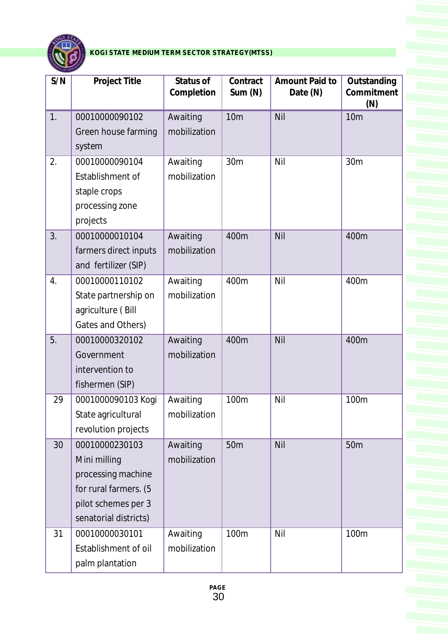

| S/N | Project Title                                                                                                                 | Status of<br>Completion  | Contract<br>Sum(N) | Amount Paid to<br>Date (N) | Outstanding<br>Commitment<br>(N) |
|-----|-------------------------------------------------------------------------------------------------------------------------------|--------------------------|--------------------|----------------------------|----------------------------------|
| 1.  | 00010000090102<br>Green house farming<br>system                                                                               | Awaiting<br>mobilization | 10 <sub>m</sub>    | Nil                        | <b>10m</b>                       |
| 2.  | 00010000090104<br>Establishment of<br>staple crops<br>processing zone<br>projects                                             | Awaiting<br>mobilization | 30m                | Nil                        | 30 <sub>m</sub>                  |
| 3.  | 00010000010104<br>farmers direct inputs<br>and fertilizer (SIP)                                                               | Awaiting<br>mobilization | 400m               | Nil                        | 400m                             |
| 4.  | 00010000110102<br>State partnership on<br>agriculture (Bill<br>Gates and Others)                                              | Awaiting<br>mobilization | 400m               | Nil                        | 400m                             |
| 5.  | 00010000320102<br>Government<br>intervention to<br>fishermen (SIP)                                                            | Awaiting<br>mobilization | 400m               | Nil                        | 400m                             |
| 29  | 0001000090103 Kogi<br>State agricultural<br>revolution projects                                                               | Awaiting<br>mobilization | 100m               | Nil                        | 100m                             |
| 30  | 00010000230103<br>Mini milling<br>processing machine<br>for rural farmers. (5<br>pilot schemes per 3<br>senatorial districts) | Awaiting<br>mobilization | 50 <sub>m</sub>    | Nil                        | 50 <sub>m</sub>                  |
| 31  | 00010000030101<br>Establishment of oil<br>palm plantation                                                                     | Awaiting<br>mobilization | 100m               | Nil                        | 100m                             |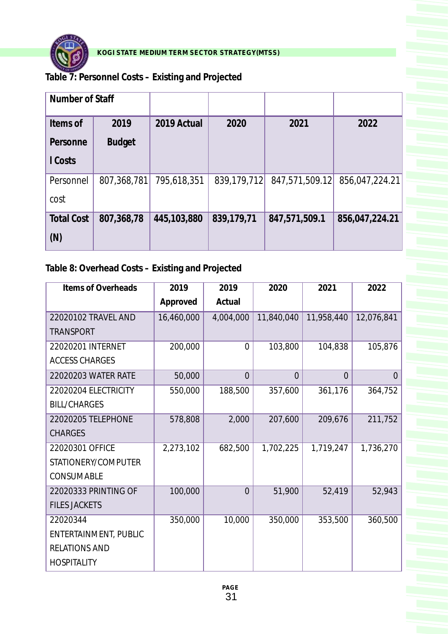

**Table 7: Personnel Costs – Existing and Projected**

| Number of Staff   |               |             |             |                |                |
|-------------------|---------------|-------------|-------------|----------------|----------------|
| Items of          | 2019          | 2019 Actual | 2020        | 2021           | 2022           |
| Personne          | <b>Budget</b> |             |             |                |                |
| I Costs           |               |             |             |                |                |
| Personnel         | 807,368,781   | 795,618,351 | 839,179,712 | 847,571,509.12 | 856,047,224.21 |
| cost              |               |             |             |                |                |
| <b>Total Cost</b> | 807,368,78    | 445,103,880 | 839,179,71  | 847,571,509.1  | 856,047,224.21 |
| (N)               |               |             |             |                |                |

**Table 8: Overhead Costs – Existing and Projected**

| Items of Overheads    | 2019       | 2019           | 2020       | 2021       | 2022       |
|-----------------------|------------|----------------|------------|------------|------------|
|                       | Approved   | Actual         |            |            |            |
| 22020102 TRAVEL AND   | 16,460,000 | 4,004,000      | 11,840,040 | 11,958,440 | 12,076,841 |
| <b>TRANSPORT</b>      |            |                |            |            |            |
| 22020201 INTERNET     | 200,000    | $\overline{0}$ | 103,800    | 104,838    | 105,876    |
| <b>ACCESS CHARGES</b> |            |                |            |            |            |
| 22020203 WATER RATE   | 50,000     | $\theta$       | $\Omega$   | $\Omega$   | $\Omega$   |
| 22020204 ELECTRICITY  | 550,000    | 188,500        | 357,600    | 361,176    | 364,752    |
| <b>BILL/CHARGES</b>   |            |                |            |            |            |
| 22020205 TELEPHONE    | 578,808    | 2,000          | 207,600    | 209,676    | 211,752    |
| <b>CHARGES</b>        |            |                |            |            |            |
| 22020301 OFFICE       | 2,273,102  | 682,500        | 1,702,225  | 1,719,247  | 1,736,270  |
| STATIONERY/COMPUTER   |            |                |            |            |            |
| CONSUMABLE            |            |                |            |            |            |
| 22020333 PRINTING OF  | 100,000    | $\overline{0}$ | 51,900     | 52,419     | 52,943     |
| <b>FILES JACKETS</b>  |            |                |            |            |            |
| 22020344              | 350,000    | 10,000         | 350,000    | 353,500    | 360,500    |
| ENTERTAINMENT, PUBLIC |            |                |            |            |            |
| <b>RELATIONS AND</b>  |            |                |            |            |            |
| <b>HOSPITALITY</b>    |            |                |            |            |            |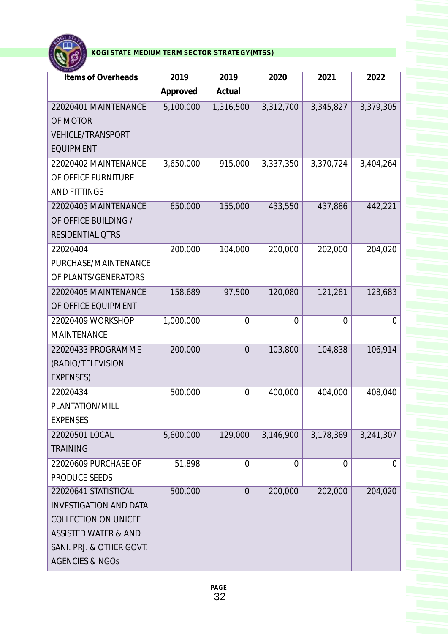

| <b>Items of Overheads</b>       | 2019      | 2019           | 2020           | 2021           | 2022           |
|---------------------------------|-----------|----------------|----------------|----------------|----------------|
|                                 | Approved  | Actual         |                |                |                |
| 22020401 MAINTENANCE            | 5,100,000 | 1,316,500      | 3,312,700      | 3,345,827      | 3,379,305      |
| OF MOTOR                        |           |                |                |                |                |
| <b>VEHICLE/TRANSPORT</b>        |           |                |                |                |                |
| <b>EQUIPMENT</b>                |           |                |                |                |                |
| 22020402 MAINTENANCE            | 3,650,000 | 915,000        | 3,337,350      | 3,370,724      | 3,404,264      |
| OF OFFICE FURNITURE             |           |                |                |                |                |
| <b>AND FITTINGS</b>             |           |                |                |                |                |
| 22020403 MAINTENANCE            | 650,000   | 155,000        | 433,550        | 437,886        | 442,221        |
| OF OFFICE BUILDING /            |           |                |                |                |                |
| <b>RESIDENTIAL QTRS</b>         |           |                |                |                |                |
| 22020404                        | 200,000   | 104,000        | 200,000        | 202,000        | 204,020        |
| PURCHASE/MAINTENANCE            |           |                |                |                |                |
| OF PLANTS/GENERATORS            |           |                |                |                |                |
| 22020405 MAINTENANCE            | 158,689   | 97,500         | 120,080        | 121,281        | 123,683        |
| OF OFFICE EQUIPMENT             |           |                |                |                |                |
| 22020409 WORKSHOP               | 1,000,000 | $\overline{0}$ | $\overline{0}$ | 0              | $\overline{0}$ |
| <b>MAINTENANCE</b>              |           |                |                |                |                |
| 22020433 PROGRAMME              | 200,000   | $\overline{0}$ | 103,800        | 104,838        | 106,914        |
| (RADIO/TELEVISION               |           |                |                |                |                |
| <b>EXPENSES)</b>                |           |                |                |                |                |
| 22020434                        | 500,000   | $\overline{0}$ | 400,000        | 404,000        | 408,040        |
| PLANTATION/MILL                 |           |                |                |                |                |
| <b>EXPENSES</b>                 |           |                |                |                |                |
| 22020501 LOCAL                  | 5,600,000 | 129,000        | 3,146,900      | 3,178,369      | 3,241,307      |
| <b>TRAINING</b>                 |           |                |                |                |                |
| 22020609 PURCHASE OF            | 51,898    | 0              | $\overline{0}$ | $\overline{0}$ | $\overline{0}$ |
| PRODUCE SEEDS                   |           |                |                |                |                |
| 22020641 STATISTICAL            | 500,000   | $\overline{0}$ | 200,000        | 202,000        | 204,020        |
| <b>INVESTIGATION AND DATA</b>   |           |                |                |                |                |
| <b>COLLECTION ON UNICEF</b>     |           |                |                |                |                |
| <b>ASSISTED WATER &amp; AND</b> |           |                |                |                |                |
| SANI. PRJ. & OTHER GOVT.        |           |                |                |                |                |
| <b>AGENCIES &amp; NGOS</b>      |           |                |                |                |                |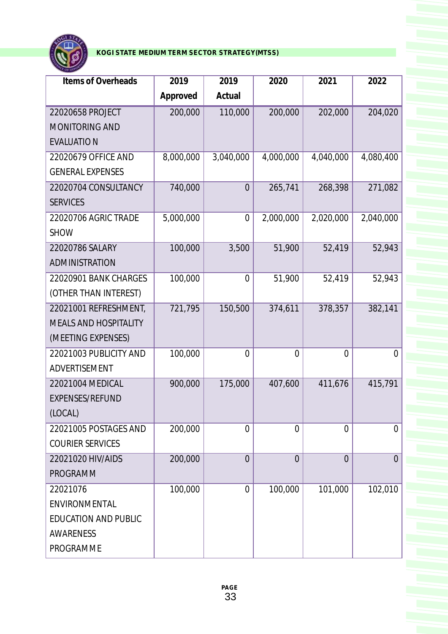

| Items of Overheads           | 2019      | 2019           | 2020           | 2021           | 2022           |
|------------------------------|-----------|----------------|----------------|----------------|----------------|
|                              | Approved  | Actual         |                |                |                |
| 22020658 PROJECT             | 200,000   | 110,000        | 200,000        | 202,000        | 204,020        |
| <b>MONITORING AND</b>        |           |                |                |                |                |
| <b>EVALUATION</b>            |           |                |                |                |                |
| 22020679 OFFICE AND          | 8,000,000 | 3,040,000      | 4,000,000      | 4,040,000      | 4,080,400      |
| <b>GENERAL EXPENSES</b>      |           |                |                |                |                |
| 22020704 CONSULTANCY         | 740,000   | $\overline{0}$ | 265,741        | 268,398        | 271,082        |
| <b>SERVICES</b>              |           |                |                |                |                |
| 22020706 AGRIC TRADE         | 5,000,000 | $\overline{0}$ | 2,000,000      | 2,020,000      | 2,040,000      |
| <b>SHOW</b>                  |           |                |                |                |                |
| 22020786 SALARY              | 100,000   | 3,500          | 51,900         | 52,419         | 52,943         |
| ADMINISTRATION               |           |                |                |                |                |
| 22020901 BANK CHARGES        | 100,000   | 0              | 51,900         | 52,419         | 52,943         |
| (OTHER THAN INTEREST)        |           |                |                |                |                |
| 22021001 REFRESHMENT,        | 721,795   | 150,500        | 374,611        | 378,357        | 382,141        |
| <b>MEALS AND HOSPITALITY</b> |           |                |                |                |                |
| (MEETING EXPENSES)           |           |                |                |                |                |
| 22021003 PUBLICITY AND       | 100,000   | $\overline{0}$ | $\overline{0}$ | 0              | $\overline{0}$ |
| ADVERTISEMENT                |           |                |                |                |                |
| 22021004 MEDICAL             | 900,000   | 175,000        | 407,600        | 411,676        | 415,791        |
| EXPENSES/REFUND              |           |                |                |                |                |
| (LOCAL)                      |           |                |                |                |                |
| 22021005 POSTAGES AND        | 200,000   | $\overline{0}$ | $\overline{0}$ | $\overline{0}$ | $\overline{0}$ |
| <b>COURIER SERVICES</b>      |           |                |                |                |                |
| 22021020 HIV/AIDS            | 200,000   | $\overline{0}$ | $\overline{0}$ | $\overline{0}$ | $\overline{0}$ |
| <b>PROGRAMM</b>              |           |                |                |                |                |
| 22021076                     | 100,000   | $\overline{0}$ | 100,000        | 101,000        | 102,010        |
| ENVIRONMENTAL                |           |                |                |                |                |
| <b>EDUCATION AND PUBLIC</b>  |           |                |                |                |                |
| <b>AWARENESS</b>             |           |                |                |                |                |
| <b>PROGRAMME</b>             |           |                |                |                |                |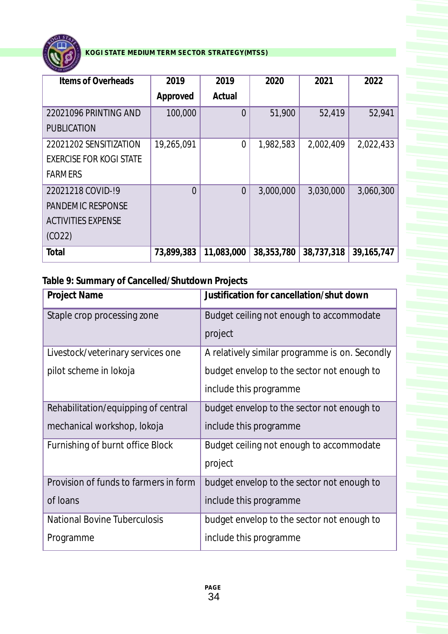

| Items of Overheads             | 2019       | 2019       | 2020       | 2021       | 2022         |
|--------------------------------|------------|------------|------------|------------|--------------|
|                                |            |            |            |            |              |
|                                | Approved   | Actual     |            |            |              |
| 22021096 PRINTING AND          | 100,000    | $\Omega$   | 51,900     | 52,419     | 52,941       |
| <b>PUBLICATION</b>             |            |            |            |            |              |
| 22021202 SENSITIZATION         | 19,265,091 | $\Omega$   | 1,982,583  | 2,002,409  | 2,022,433    |
| <b>EXERCISE FOR KOGI STATE</b> |            |            |            |            |              |
| <b>FARMERS</b>                 |            |            |            |            |              |
| 22021218 COVID-19              | $\Omega$   | $\Omega$   | 3,000,000  | 3,030,000  | 3,060,300    |
| <b>PANDEMIC RESPONSE</b>       |            |            |            |            |              |
| <b>ACTIVITIES EXPENSE</b>      |            |            |            |            |              |
| (CO22)                         |            |            |            |            |              |
| Total                          | 73,899,383 | 11,083,000 | 38,353,780 | 38,737,318 | 39, 165, 747 |

**Table 9: Summary of Cancelled/Shutdown Projects**

| Justification for cancellation/shut down       |
|------------------------------------------------|
| Budget ceiling not enough to accommodate       |
| project                                        |
| A relatively similar programme is on. Secondly |
| budget envelop to the sector not enough to     |
| include this programme                         |
| budget envelop to the sector not enough to     |
| include this programme                         |
| Budget ceiling not enough to accommodate       |
| project                                        |
| budget envelop to the sector not enough to     |
| include this programme                         |
| budget envelop to the sector not enough to     |
| include this programme                         |
|                                                |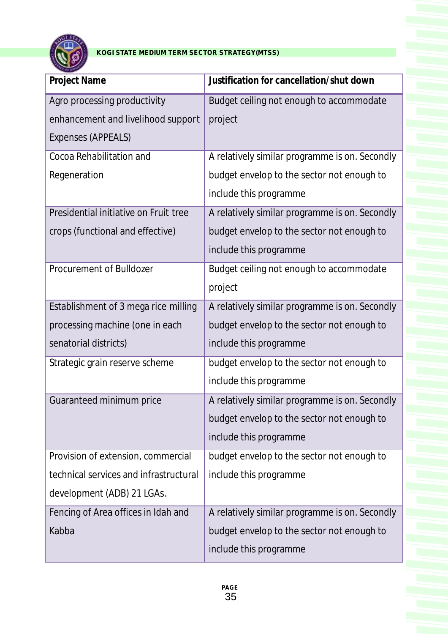

| <b>Project Name</b>                    | Justification for cancellation/shut down       |
|----------------------------------------|------------------------------------------------|
| Agro processing productivity           | Budget ceiling not enough to accommodate       |
| enhancement and livelihood support     | project                                        |
| Expenses (APPEALS)                     |                                                |
| Cocoa Rehabilitation and               | A relatively similar programme is on. Secondly |
| Regeneration                           | budget envelop to the sector not enough to     |
|                                        | include this programme                         |
| Presidential initiative on Fruit tree  | A relatively similar programme is on. Secondly |
| crops (functional and effective)       | budget envelop to the sector not enough to     |
|                                        | include this programme                         |
| Procurement of Bulldozer               | Budget ceiling not enough to accommodate       |
|                                        | project                                        |
| Establishment of 3 mega rice milling   | A relatively similar programme is on. Secondly |
| processing machine (one in each        | budget envelop to the sector not enough to     |
| senatorial districts)                  | include this programme                         |
| Strategic grain reserve scheme         | budget envelop to the sector not enough to     |
|                                        | include this programme                         |
| Guaranteed minimum price               | A relatively similar programme is on. Secondly |
|                                        | budget envelop to the sector not enough to     |
|                                        | include this programme                         |
| Provision of extension, commercial     | budget envelop to the sector not enough to     |
| technical services and infrastructural | include this programme                         |
| development (ADB) 21 LGAs.             |                                                |
| Fencing of Area offices in Idah and    | A relatively similar programme is on. Secondly |
| Kabba                                  | budget envelop to the sector not enough to     |
|                                        | include this programme                         |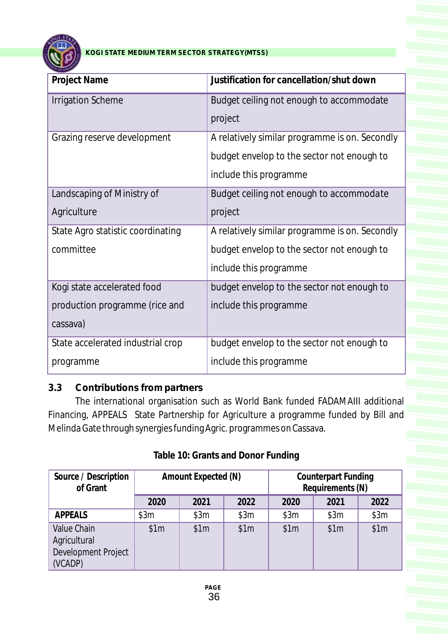

| Project Name                      | Justification for cancellation/shut down       |
|-----------------------------------|------------------------------------------------|
| <b>Irrigation Scheme</b>          | Budget ceiling not enough to accommodate       |
|                                   | project                                        |
| Grazing reserve development       | A relatively similar programme is on. Secondly |
|                                   | budget envelop to the sector not enough to     |
|                                   | include this programme                         |
| Landscaping of Ministry of        | Budget ceiling not enough to accommodate       |
| Agriculture                       | project                                        |
| State Agro statistic coordinating | A relatively similar programme is on. Secondly |
| committee                         | budget envelop to the sector not enough to     |
|                                   | include this programme                         |
| Kogi state accelerated food       | budget envelop to the sector not enough to     |
| production programme (rice and    | include this programme                         |
| cassava)                          |                                                |
| State accelerated industrial crop | budget envelop to the sector not enough to     |
| programme                         | include this programme                         |

# **3.3 Contributions from partners**

The international organisation such as World Bank funded FADAMAIII additional Financing, APPEALS State Partnership for Agriculture a programme funded by Bill and Melinda Gate through synergies funding Agric. programmes on Cassava.

| Source / Description<br>of Grant                                     |      | Amount Expected (N) |      |      | <b>Counterpart Funding</b><br>Requirements (N) |      |
|----------------------------------------------------------------------|------|---------------------|------|------|------------------------------------------------|------|
|                                                                      | 2020 | 2021                | 2022 | 2020 | 2021                                           | 2022 |
| APPEALS                                                              | \$3m | \$3m                | \$3m | \$3m | \$3m                                           | \$3m |
| <b>Value Chain</b><br>Agricultural<br>Development Project<br>(VCADP) | \$1m | \$1m                | \$1m | \$1m | \$1m                                           | \$1m |

### **Table 10: Grants and Donor Funding**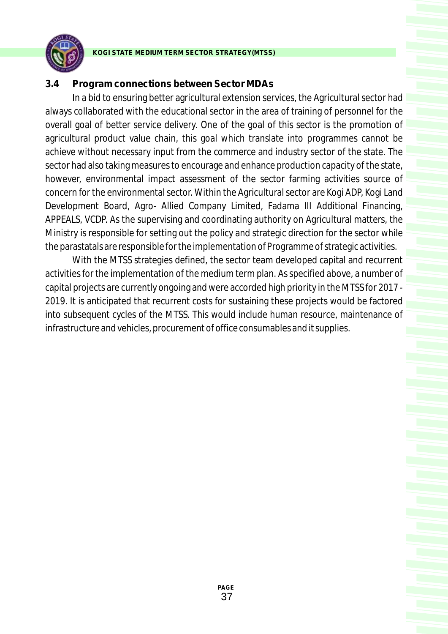

#### **3.4 Program connections between Sector MDAs**

In a bid to ensuring better agricultural extension services, the Agricultural sector had always collaborated with the educational sector in the area of training of personnel for the overall goal of better service delivery. One of the goal of this sector is the promotion of agricultural product value chain, this goal which translate into programmes cannot be achieve without necessary input from the commerce and industry sector of the state. The sector had also taking measures to encourage and enhance production capacity of the state, however, environmental impact assessment of the sector farming activities source of concern for the environmental sector. Within the Agricultural sector are Kogi ADP, Kogi Land Development Board, Agro- Allied Company Limited, Fadama III Additional Financing, APPEALS, VCDP. As the supervising and coordinating authority on Agricultural matters, the Ministry is responsible for setting out the policy and strategic direction for the sector while the parastatals are responsible for the implementation of Programme of strategic activities.

With the MTSS strategies defined, the sector team developed capital and recurrent activities for the implementation of the medium term plan. As specified above, a number of capital projects are currently ongoing and were accorded high priority in the MTSS for 2017 - 2019. It is anticipated that recurrent costs for sustaining these projects would be factored into subsequent cycles of the MTSS. This would include human resource, maintenance of infrastructure and vehicles, procurement of office consumables and it supplies.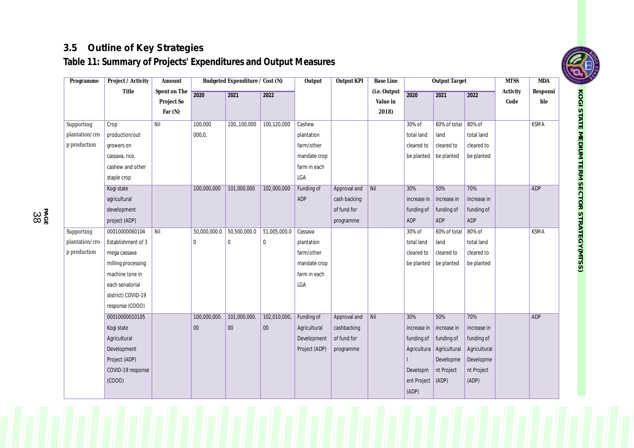# **3.5 Outline of Key Strategies**

**Table 11: Summary of Projects' Expenditures and Output Measures**

| Programme      | Project / Activity | Amount       |              | Budgeted Expenditure / Cost (N) |              | Output        | Output KPI   | <b>Base Line</b> |             | <b>Output Target</b> |              | <b>MTSS</b>   | <b>MDA</b>  |
|----------------|--------------------|--------------|--------------|---------------------------------|--------------|---------------|--------------|------------------|-------------|----------------------|--------------|---------------|-------------|
|                | <b>Title</b>       | Spent on The | 2020         | 2021                            | 2022         |               |              | (i.e. Output     | 2020        | 2021                 | 2022         | Activity      | Responsi    |
|                |                    | Project So   |              |                                 |              |               |              | Value in         |             |                      |              | $\mbox{Code}$ | ble         |
|                |                    | Far $(N)$    |              |                                 |              |               |              | 2018)            |             |                      |              |               |             |
| Supporting     | Crop               | Nil          | 100,000      | 100, 100, 000                   | 100,120,000  | Cashew        |              |                  | 30% of      | 60% of total         | 80% of       |               | <b>KSMA</b> |
| plantation/cro | production/out     |              | 000, 0,      |                                 |              | plantation    |              |                  | total land  | land                 | total land   |               |             |
| p production   | growers on         |              |              |                                 |              | farm/other    |              |                  | cleared to  | cleared to           | cleared to   |               |             |
|                | cassava, rice,     |              |              |                                 |              | mandate crop  |              |                  | be planted  | be planted           | be planted   |               |             |
|                | cashew and other   |              |              |                                 |              | farm in each  |              |                  |             |                      |              |               |             |
|                | staple crop        |              |              |                                 |              | LGA           |              |                  |             |                      |              |               |             |
|                | Kogi state         |              | 100,000,000  | 101,000,000                     | 102,000,000  | Funding of    | Approval and | Nil              | 30%         | 50%                  | 70%          |               | <b>ADP</b>  |
|                | agricultural       |              |              |                                 |              | ADP           | cash backing |                  | increase in | increase in          | increase in  |               |             |
|                | development        |              |              |                                 |              |               | of fund for  |                  | funding of  | funding of           | funding of   |               |             |
|                | project (ADP)      |              |              |                                 |              |               | programme    |                  | ADP         | ADP                  | ADP          |               |             |
| Supporting     | 00010000060104     | Nil          | 50,000,000.0 | 50,500,000.0                    | 51,005,000.0 | Cassava       |              |                  | 30% of      | 60% of total         | 80% of       |               | <b>KSMA</b> |
| plantation/cro | Establishment of 3 |              | $\Omega$     | $\mathbf{0}$                    | $\mathbf 0$  | plantation    |              |                  | total land  | land                 | total land   |               |             |
| p production   | mega cassava       |              |              |                                 |              | farm/other    |              |                  | cleared to  | cleared to           | cleared to   |               |             |
|                | milling processing |              |              |                                 |              | mandate crop  |              |                  | be planted  | be planted           | be planted   |               |             |
|                | machine (one in    |              |              |                                 |              | farm in each  |              |                  |             |                      |              |               |             |
|                | each senatorial    |              |              |                                 |              | LGA           |              |                  |             |                      |              |               |             |
|                | district) COVID-19 |              |              |                                 |              |               |              |                  |             |                      |              |               |             |
|                | response (COOO)    |              |              |                                 |              |               |              |                  |             |                      |              |               |             |
|                | 00010000010105     |              | 100,000,000. | 101,000,000.                    | 102,010,000, | Funding of    | Approval and | Nil              | 30%         | 50%                  | 70%          |               | ADP         |
|                | Kogi state         |              | 00           | 00                              | $00\,$       | Agricultural  | cashbacking  |                  | increase in | increase in          | increase in  |               |             |
|                | Agricultural       |              |              |                                 |              | Development   | of fund for  |                  | funding of  | funding of           | funding of   |               |             |
|                | Development        |              |              |                                 |              | Project (ADP) | programme    |                  | Agricultura | Agricultural         | Agricultural |               |             |
|                | Project (ADP)      |              |              |                                 |              |               |              |                  |             | Developme            | Developme    |               |             |
|                | COVID-19 response  |              |              |                                 |              |               |              |                  | Developm    | nt Project           | nt Project   |               |             |
|                | (COOO)             |              |              |                                 |              |               |              |                  | ent Project | (ADP)                | (ADP)        |               |             |
|                |                    |              |              |                                 |              |               |              |                  | (ADP)       |                      |              |               |             |



**K O GI**

**S TAT E M E DIU M T E R M S E C T O R** STRATEGY(MTSS)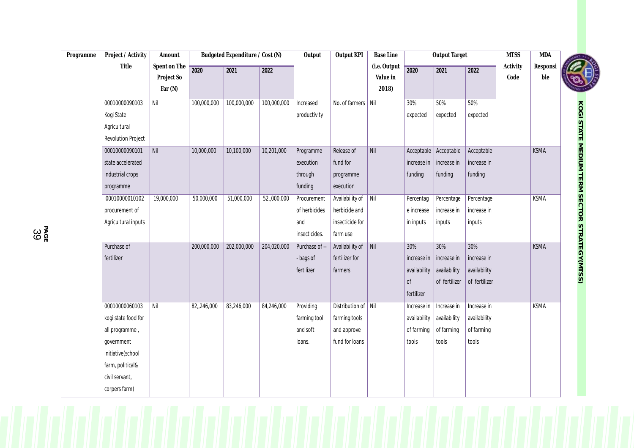| Programme | Project / Activity  | Amount       | Budgeted Expenditure / Cost (N) |             | Output      | <b>Output KPI</b> | <b>Base Line</b>    | <b>Output Target</b>         |              |               | <b>MTSS</b>   | MDA      |             |                                              |
|-----------|---------------------|--------------|---------------------------------|-------------|-------------|-------------------|---------------------|------------------------------|--------------|---------------|---------------|----------|-------------|----------------------------------------------|
|           | Title               | Spent on The | 2020                            | 2021        | 2022        |                   |                     | (i.e. Output                 | 2020         | 2021          | 2022          | Activity | Responsi    |                                              |
|           |                     | Project So   |                                 |             |             |                   |                     | Value in                     |              |               |               | Code     | ble         |                                              |
|           |                     | Far $(N)$    |                                 |             |             |                   |                     | 2018)                        |              |               |               |          |             |                                              |
|           | 00010000090103      | Nil          | 100,000,000                     | 100,000,000 | 100,000,000 | Increased         | No. of farmers Nil  |                              | 30%          | 50%           | 50%           |          |             |                                              |
|           | Kogi State          |              |                                 |             |             | productivity      |                     |                              | expected     | expected      | expected      |          |             |                                              |
|           | Agricultural        |              |                                 |             |             |                   |                     |                              |              |               |               |          |             |                                              |
|           | Revolution Project  |              |                                 |             |             |                   |                     |                              |              |               |               |          |             |                                              |
|           | 00010000090101      | Nil          | 10,000,000                      | 10,100,000  | 10,201,000  | Programme         | Release of          | Nil                          | Acceptable   | Acceptable    | Acceptable    |          | <b>KSMA</b> |                                              |
|           | state accelerated   |              |                                 |             |             | execution         | fund for            |                              | increase in  | increase in   | increase in   |          |             |                                              |
|           | industrial crops    |              |                                 |             |             | through           | programme           |                              | funding      | funding       | funding       |          |             |                                              |
|           | programme           |              |                                 |             |             | funding           | execution           |                              |              |               |               |          |             |                                              |
|           | 00010000010102      | 19,000,000   | 50,000,000                      | 51,000,000  | 52,,000,000 | Procurement       | Availability of     | $\vert$ Nil                  | Percentag    | Percentage    | Percentage    |          | <b>KSMA</b> |                                              |
|           | procurement of      |              |                                 |             |             | of herbicides     | herbicide and       |                              | e increase   | increase in   | increase in   |          |             |                                              |
|           | Agricultural inputs |              |                                 |             |             | and               | insecticide for     |                              | in inputs    | inputs        | inputs        |          |             |                                              |
|           |                     |              |                                 |             |             | insecticides.     | farm use            |                              |              |               |               |          |             |                                              |
|           | Purchase of         |              | 200,000,000                     | 202,000,000 | 204,020,000 | Purchase of --    | Availability of     | $\overline{\big \text{Nil}}$ | 30%          | 30%           | 30%           |          | <b>KSMA</b> | KOGI STATE MEDIUM TERM SECTOR STRATEGY(MTSS) |
|           | fertilizer          |              |                                 |             |             | - bags of         | fertilizer for      |                              | increase in  | increase in   | increase in   |          |             |                                              |
|           |                     |              |                                 |             |             | fertilizer        | farmers             |                              | availability | availability  | availability  |          |             |                                              |
|           |                     |              |                                 |             |             |                   |                     |                              | of           | of fertilizer | of fertilizer |          |             |                                              |
|           |                     |              |                                 |             |             |                   |                     |                              | fertilizer   |               |               |          |             |                                              |
|           | 00010000060103      | Nil          | 82,,246,000                     | 83,246,000  | 84,246,000  | Providing         | Distribution of Nil |                              | Increase in  | Increase in   | Increase in   |          | <b>KSMA</b> |                                              |
|           | kogi state food for |              |                                 |             |             | farming tool      | farming tools       |                              | availability | availability  | availability  |          |             |                                              |
|           | all programme,      |              |                                 |             |             | and soft          | and approve         |                              | of farming   | of farming    | of farming    |          |             |                                              |
|           | government          |              |                                 |             |             | loans.            | fund for loans      |                              | tools        | tools         | tools         |          |             |                                              |
|           | initiative(school   |              |                                 |             |             |                   |                     |                              |              |               |               |          |             |                                              |
|           | farm, political&    |              |                                 |             |             |                   |                     |                              |              |               |               |          |             |                                              |
|           | civil servant,      |              |                                 |             |             |                   |                     |                              |              |               |               |          |             |                                              |
|           | corpers farm)       |              |                                 |             |             |                   |                     |                              |              |               |               |          |             |                                              |

**CONTROL**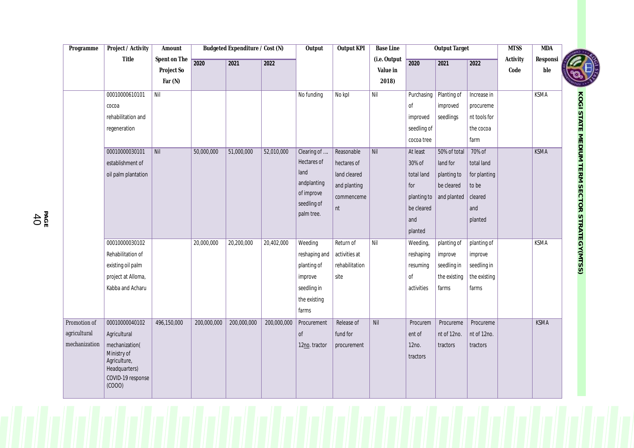| Programme     | Project / Activity                           | Amount                       |             | Budgeted Expenditure / Cost (N) |             | Output                    | <b>Output KPI</b> | <b>Base Line</b> |             | <b>Output Target</b> |              | <b>MTSS</b> | <b>MDA</b>  |                                                     |
|---------------|----------------------------------------------|------------------------------|-------------|---------------------------------|-------------|---------------------------|-------------------|------------------|-------------|----------------------|--------------|-------------|-------------|-----------------------------------------------------|
|               | Title                                        | Spent on The                 | 2020        | 2021                            | 2022        |                           |                   | (i.e. Output     | 2020        | 2021                 | 2022         | Activity    | Responsi    |                                                     |
|               |                                              | Project So                   |             |                                 |             |                           |                   | Value in         |             |                      |              | Code        | ble         |                                                     |
|               |                                              | Far $(N)$                    |             |                                 |             |                           |                   | 2018)            |             |                      |              |             |             |                                                     |
|               | 00010000610101                               | Nil                          |             |                                 |             | No funding                | No kpl            | Nil              | Purchasing  | Planting of          | Increase in  |             | <b>KSMA</b> |                                                     |
|               | cocoa                                        |                              |             |                                 |             |                           |                   |                  | Оf          | improved             | procureme    |             |             |                                                     |
|               | rehabilitation and                           |                              |             |                                 |             |                           |                   |                  | improved    | seedlings            | nt tools for |             |             |                                                     |
|               | regeneration                                 |                              |             |                                 |             |                           |                   |                  | seedling of |                      | the cocoa    |             |             |                                                     |
|               |                                              |                              |             |                                 |             |                           |                   |                  | cocoa tree  |                      | farm         |             |             |                                                     |
|               | 00010000030101                               | $\overline{\phantom{a}}$ Nil | 50,000,000  | 51,000,000                      | 52,010,000  | Clearing of               | Reasonable        | Nil              | At least    | 50% of total         | 70% of       |             | <b>KSMA</b> |                                                     |
|               | establishment of                             |                              |             |                                 |             | Hectares of               | hectares of       |                  | 30% of      | land for             | total land   |             |             |                                                     |
|               | oil palm plantation                          |                              |             |                                 |             | land                      | land cleared      |                  | total land  | planting to          | for planting |             |             |                                                     |
|               |                                              |                              |             |                                 |             | andplanting               | and planting      |                  | for         | be cleared           | to be        |             |             |                                                     |
|               |                                              |                              |             |                                 |             | of improve<br>seedling of | commenceme        |                  | planting to | and planted          | cleared      |             |             |                                                     |
|               |                                              |                              |             |                                 |             | palm tree.                | nt                |                  | be cleared  |                      | and          |             |             |                                                     |
|               |                                              |                              |             |                                 |             |                           |                   |                  | and         |                      | planted      |             |             |                                                     |
|               |                                              |                              |             |                                 |             |                           |                   |                  | planted     |                      |              |             |             |                                                     |
|               | 00010000030102                               |                              | 20,000,000  | 20,200,000                      | 20,402,000  | Weeding                   | Return of         | Nil              | Weeding,    | planting of          | planting of  |             | <b>KSMA</b> | <b>KOGI STATE MEDIUM TERM SECTOR STRATEGY(MTSS)</b> |
|               | Rehabilitation of                            |                              |             |                                 |             | reshaping and             | activities at     |                  | reshaping   | improve              | improve      |             |             |                                                     |
|               | existing oil palm                            |                              |             |                                 |             | planting of               | rehabilitation    |                  | resuming    | seedling in          | seedling in  |             |             |                                                     |
|               | project at Alloma,                           |                              |             |                                 |             | improve                   | site              |                  | Оf          | the existing         | the existing |             |             |                                                     |
|               | Kabba and Acharu                             |                              |             |                                 |             | seedling in               |                   |                  | activities  | farms                | farms        |             |             |                                                     |
|               |                                              |                              |             |                                 |             | the existing              |                   |                  |             |                      |              |             |             |                                                     |
|               |                                              |                              |             |                                 |             | farms                     |                   |                  |             |                      |              |             |             |                                                     |
| Promotion of  | 00010000040102                               | 496,150,000                  | 200,000,000 | 200,000,000                     | 200,000,000 | Procurement               | Release of        | <b>Nil</b>       | Procurem    | Procureme            | Procureme    |             | <b>KSMA</b> |                                                     |
| agricultural  | Agricultural                                 |                              |             |                                 |             | 0f                        | fund for          |                  | ent of      | nt of 12no.          | nt of 12no.  |             |             |                                                     |
| mechanization | mechanization(                               |                              |             |                                 |             | 12no. tractor             | procurement       |                  | 12no.       | tractors             | tractors     |             |             |                                                     |
|               | Ministry of<br>Agriculture,<br>Headquarters) |                              |             |                                 |             |                           |                   |                  | tractors    |                      |              |             |             |                                                     |
|               | COVID-19 response<br>(COOO)                  |                              |             |                                 |             |                           |                   |                  |             |                      |              |             |             |                                                     |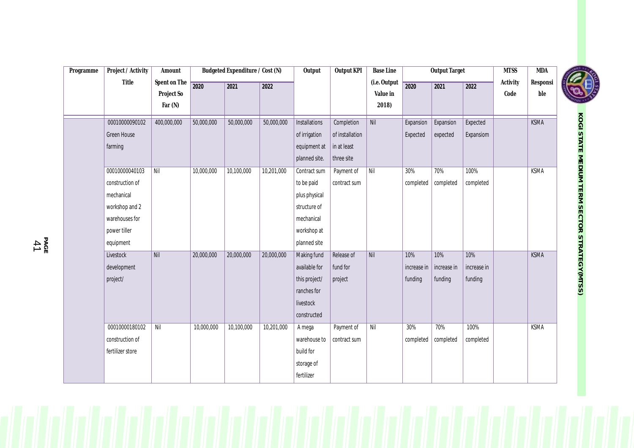| Programme | Project / Activity | Amount       | Budgeted Expenditure / Cost (N) |            |            | Output               | Output KPI      | <b>Base Line</b> |             | <b>Output Target</b> |             | <b>MTSS</b> | <b>MDA</b>  |
|-----------|--------------------|--------------|---------------------------------|------------|------------|----------------------|-----------------|------------------|-------------|----------------------|-------------|-------------|-------------|
|           | Title              | Spent on The | 2020                            | 2021       | 2022       |                      |                 | (i.e. Output     | 2020        | 2021                 | 2022        | Activity    | Responsi    |
|           |                    | Project So   |                                 |            |            |                      |                 | Value in         |             |                      |             | Code        | ble         |
|           |                    | Far $(N)$    |                                 |            |            |                      |                 | 2018)            |             |                      |             |             |             |
|           | 00010000090102     | 400,000,000  | 50,000,000                      | 50,000,000 | 50,000,000 | <b>Installations</b> | Completion      | Nil              | Expansion   | Expansion            | Expected    |             | <b>KSMA</b> |
|           | Green House        |              |                                 |            |            | of irrigation        | of installation |                  | Expected    | expected             | Expansiom   |             |             |
|           | farming            |              |                                 |            |            | equipment at         | in at least     |                  |             |                      |             |             |             |
|           |                    |              |                                 |            |            | planned site.        | three site      |                  |             |                      |             |             |             |
|           | 00010000040103     | Nil          | 10,000,000                      | 10,100,000 | 10,201,000 | Contract sum         | Payment of      | $N$ il           | 30%         | 70%                  | 100%        |             | <b>KSMA</b> |
|           | construction of    |              |                                 |            |            | to be paid           | contract sum    |                  | completed   | completed            | completed   |             |             |
|           | mechanical         |              |                                 |            |            | plus physical        |                 |                  |             |                      |             |             |             |
|           | workshop and 2     |              |                                 |            |            | structure of         |                 |                  |             |                      |             |             |             |
|           | warehouses for     |              |                                 |            |            | mechanical           |                 |                  |             |                      |             |             |             |
|           | power tiller       |              |                                 |            |            | workshop at          |                 |                  |             |                      |             |             |             |
|           | equipment          |              |                                 |            |            | planned site         |                 |                  |             |                      |             |             |             |
|           | Livestock          | Nil          | 20,000,000                      | 20,000,000 | 20,000,000 | Making fund          | Release of      | <b>Nil</b>       | 10%         | 10%                  | 10%         |             | <b>KSMA</b> |
|           | development        |              |                                 |            |            | available for        | fund for        |                  | increase in | increase in          | increase in |             |             |
|           | project/           |              |                                 |            |            | this project/        | project         |                  | funding     | funding              | funding     |             |             |
|           |                    |              |                                 |            |            | ranches for          |                 |                  |             |                      |             |             |             |
|           |                    |              |                                 |            |            | livestock            |                 |                  |             |                      |             |             |             |
|           |                    |              |                                 |            |            | constructed          |                 |                  |             |                      |             |             |             |
|           | 00010000180102     | Nil          | 10,000,000                      | 10,100,000 | 10,201,000 | A mega               | Payment of      | Nil              | 30%         | 70%                  | 100%        |             | <b>KSMA</b> |
|           | construction of    |              |                                 |            |            | warehouse to         | contract sum    |                  | completed   | completed            | completed   |             |             |
|           | fertilizer store   |              |                                 |            |            | build for            |                 |                  |             |                      |             |             |             |
|           |                    |              |                                 |            |            | storage of           |                 |                  |             |                      |             |             |             |
|           |                    |              |                                 |            |            | fertilizer           |                 |                  |             |                      |             |             |             |



**K O GI S TAT E NEDION T E R M S E C T O R** STRATEGY(MTSS)

**PA** ծ<br>41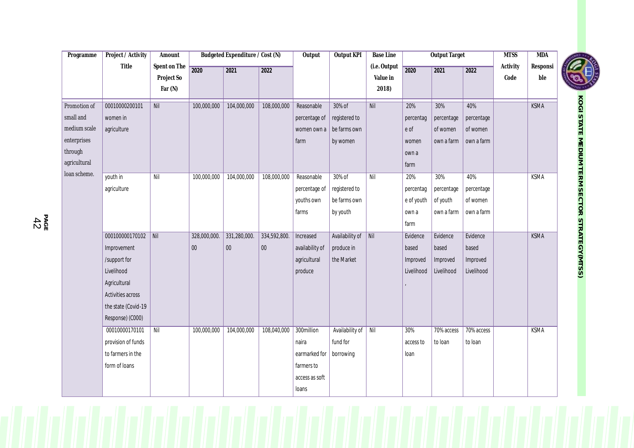| Programme    | Project / Activity  | Amount       |              | Budgeted Expenditure / Cost (N) |              | Output          | <b>Output KPI</b> | <b>Base Line</b> |            | <b>Output Target</b> |            | <b>MTSS</b>   | <b>MDA</b>    |                   |
|--------------|---------------------|--------------|--------------|---------------------------------|--------------|-----------------|-------------------|------------------|------------|----------------------|------------|---------------|---------------|-------------------|
|              | Title               | Spent on The | 2020         | 2021                            | 2022         |                 |                   | (i.e. Output     | 2020       | 2021                 | 2022       | Activity      | Responsi      | <b>CONTROLLED</b> |
|              |                     | Project So   |              |                                 |              |                 |                   | Value in         |            |                      |            | $\mbox{Code}$ | $_{\rm{ble}}$ |                   |
|              |                     | Far (N)      |              |                                 |              |                 |                   | 2018)            |            |                      |            |               |               |                   |
| Promotion of | 00010000200101      | Nil          | 100,000,000  | 104,000,000                     | 108,000,000  | Reasonable      | 30% of            | Nil              | 20%        | 30%                  | 40%        |               | <b>KSMA</b>   |                   |
| small and    | women in            |              |              |                                 |              | percentage of   | registered to     |                  | percentag  | percentage           | percentage |               |               |                   |
| medium scale | agriculture         |              |              |                                 |              | women own a     | be farms own      |                  | e of       | of women             | of women   |               |               |                   |
| enterprises  |                     |              |              |                                 |              | farm            | by women          |                  | women      | own a farm           | own a farm |               |               |                   |
| through      |                     |              |              |                                 |              |                 |                   |                  | own a      |                      |            |               |               |                   |
| agricultural |                     |              |              |                                 |              |                 |                   |                  | farm       |                      |            |               |               |                   |
| loan scheme. | youth in            | Nil          | 100,000,000  | 104,000,000                     | 108,000,000  | Reasonable      | 30% of            | Nil              | 20%        | 30%                  | 40%        |               | <b>KSMA</b>   |                   |
|              | agriculture         |              |              |                                 |              | percentage of   | registered to     |                  | percentag  | percentage           | percentage |               |               |                   |
|              |                     |              |              |                                 |              | youths own      | be farms own      |                  | e of youth | of youth             | of women   |               |               |                   |
|              |                     |              |              |                                 |              | farms           | by youth          |                  | own a      | own a farm           | own a farm |               |               |                   |
|              |                     |              |              |                                 |              |                 |                   |                  | farm       |                      |            |               |               |                   |
|              | 000100000170102     | Nil          | 328,000,000. | 331,280,000.                    | 334,592,800. | Increased       | Availability of   | $\vert$ Nil      | Evidence   | Evidence             | Evidence   |               | <b>KSMA</b>   |                   |
|              | Improvement         |              | $00\,$       | $00\,$                          | 00           | availability of | produce in        |                  | based      | based                | based      |               |               |                   |
|              | /support for        |              |              |                                 |              | agricultural    | the Market        |                  | Improved   | Improved             | Improved   |               |               |                   |
|              | Livelihood          |              |              |                                 |              | produce         |                   |                  | Livelihood | Livelihood           | Livelihood |               |               |                   |
|              | Agricultural        |              |              |                                 |              |                 |                   |                  |            |                      |            |               |               |                   |
|              | Activities across   |              |              |                                 |              |                 |                   |                  |            |                      |            |               |               |                   |
|              | the state (Covid-19 |              |              |                                 |              |                 |                   |                  |            |                      |            |               |               |                   |
|              | Response) (C000)    |              |              |                                 |              |                 |                   |                  |            |                      |            |               |               |                   |
|              | 00010000170101      | Nil          | 100,000,000  | 104,000,000                     | 108,040,000  | 300million      | Availability of   | Nil              | 30%        | 70% access           | 70% access |               | <b>KSMA</b>   |                   |
|              | provision of funds  |              |              |                                 |              | naira           | fund for          |                  | access to  | to loan              | to loan    |               |               |                   |
|              | to farmers in the   |              |              |                                 |              | earmarked for   | borrowing         |                  | loan       |                      |            |               |               |                   |
|              | form of loans       |              |              |                                 |              | farmers to      |                   |                  |            |                      |            |               |               |                   |
|              |                     |              |              |                                 |              | access as soft  |                   |                  |            |                      |            |               |               |                   |
|              |                     |              |              |                                 |              | loans           |                   |                  |            |                      |            |               |               |                   |
|              |                     |              |              |                                 |              |                 |                   |                  |            |                      |            |               |               |                   |



**K O GI**

**S TAT E**

**PA GE** 4 2

**NEDION T E R M S E C T O R** STRATEGY(MTSS)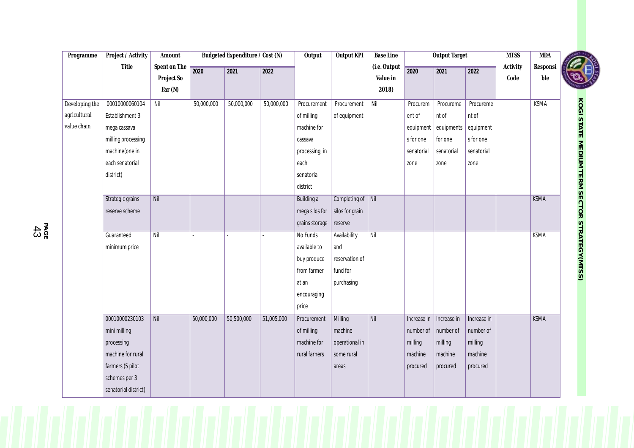| Programme      | Project / Activity   | Amount       |            | Budgeted Expenditure / Cost (N) |            | Output         | Output KPI        | <b>Base Line</b> |             | <b>Output Target</b> |             | <b>MTSS</b>   | <b>MDA</b>    |                                                     |  |
|----------------|----------------------|--------------|------------|---------------------------------|------------|----------------|-------------------|------------------|-------------|----------------------|-------------|---------------|---------------|-----------------------------------------------------|--|
|                | Title                | Spent on The | 2020       | 2021                            | 2022       |                |                   | (i.e. Output     | 2020        | 2021                 | 2022        | Activity      | Responsi      |                                                     |  |
|                |                      | Project So   |            |                                 |            |                |                   | Value in         |             |                      |             | $\mbox{Code}$ | $_{\rm{ble}}$ |                                                     |  |
|                |                      | Far $(N)$    |            |                                 |            |                |                   | 2018)            |             |                      |             |               |               |                                                     |  |
| Developing the | 00010000060104       | Nil          | 50,000,000 | 50,000,000                      | 50,000,000 | Procurement    | Procurement       | Nil              | Procurem    | Procureme            | Procureme   |               | <b>KSMA</b>   |                                                     |  |
| agricultural   | Establishment 3      |              |            |                                 |            | of milling     | of equipment      |                  | ent of      | nt of                | nt of       |               |               |                                                     |  |
| value chain    | mega cassava         |              |            |                                 |            | machine for    |                   |                  | equipment   | equipments           | equipment   |               |               |                                                     |  |
|                | milling processing   |              |            |                                 |            | cassava        |                   |                  | s for one   | for one              | s for one   |               |               |                                                     |  |
|                | machine(one in       |              |            |                                 |            | processing, in |                   |                  | senatorial  | senatorial           | senatorial  |               |               |                                                     |  |
|                | each senatorial      |              |            |                                 |            | each           |                   |                  | zone        | zone                 | zone        |               |               |                                                     |  |
|                | district)            |              |            |                                 |            | senatorial     |                   |                  |             |                      |             |               |               |                                                     |  |
|                |                      |              |            |                                 |            | district       |                   |                  |             |                      |             |               |               |                                                     |  |
|                | Strategic grains     | Nil          |            |                                 |            | Building a     | Completing of Nil |                  |             |                      |             |               | <b>KSMA</b>   |                                                     |  |
|                | reserve scheme       |              |            |                                 |            | mega silos for | silos for grain   |                  |             |                      |             |               |               |                                                     |  |
|                |                      |              |            |                                 |            | grains storage | reserve           |                  |             |                      |             |               |               | <b>KOGI STATE MEDIUM TERM SECTOR STRATEGY(MTSS)</b> |  |
|                | Guaranteed           | Nil          |            |                                 |            | No Funds       | Availability      | Nil              |             |                      |             |               | <b>KSMA</b>   |                                                     |  |
|                | minimum price        |              |            |                                 |            | available to   | and               |                  |             |                      |             |               |               |                                                     |  |
|                |                      |              |            |                                 |            | buy produce    | reservation of    |                  |             |                      |             |               |               |                                                     |  |
|                |                      |              |            |                                 |            | from farmer    | fund for          |                  |             |                      |             |               |               |                                                     |  |
|                |                      |              |            |                                 |            | at an          | purchasing        |                  |             |                      |             |               |               |                                                     |  |
|                |                      |              |            |                                 |            | encouraging    |                   |                  |             |                      |             |               |               |                                                     |  |
|                |                      |              |            |                                 |            | price          |                   |                  |             |                      |             |               |               |                                                     |  |
|                | 00010000230103       | Nil          | 50,000,000 | 50,500,000                      | 51,005,000 | Procurement    | Milling           | Nil              | Increase in | Increase in          | Increase in |               | <b>KSMA</b>   |                                                     |  |
|                | mini milling         |              |            |                                 |            | of milling     | machine           |                  | number of   | number of            | number of   |               |               |                                                     |  |
|                | processing           |              |            |                                 |            | machine for    | operational in    |                  | milling     | milling              | milling     |               |               |                                                     |  |
|                | machine for rural    |              |            |                                 |            | rural farners  | some rural        |                  | machine     | machine              | machine     |               |               |                                                     |  |
|                | farmers (5 pilot     |              |            |                                 |            |                | areas             |                  | procured    | procured             | procured    |               |               |                                                     |  |
|                | schemes per 3        |              |            |                                 |            |                |                   |                  |             |                      |             |               |               |                                                     |  |
|                | senatorial district) |              |            |                                 |            |                |                   |                  |             |                      |             |               |               |                                                     |  |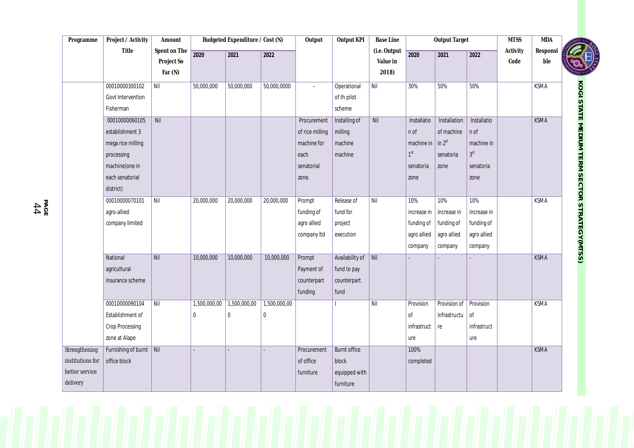| Programme        | Project / Activity      | Amount           |              | Budgeted Expenditure / Cost (N) |              | Output          | <b>Output KPI</b>   | <b>Base Line</b> |                 | <b>Output Target</b> |              | <b>MTSS</b> | <b>MDA</b>  |                                                     |
|------------------|-------------------------|------------------|--------------|---------------------------------|--------------|-----------------|---------------------|------------------|-----------------|----------------------|--------------|-------------|-------------|-----------------------------------------------------|
|                  | Title                   | Spent on The     | 2020         | 2021                            | 2022         |                 |                     | (i.e. Output     | 2020            | 2021                 | 2022         | Activity    | Responsi    |                                                     |
|                  |                         | Project So       |              |                                 |              |                 |                     | Value in         |                 |                      |              | Code        | ble         |                                                     |
|                  |                         | Far $(N)$        |              |                                 |              |                 |                     | 2018)            |                 |                      |              |             |             |                                                     |
|                  | 00010000300102          | Nil              | 50,000,000   | 50,000,000                      | 50,000,0000  | $\blacksquare$  | Operational         | Nil              | 30%             | 50%                  | 50%          |             | <b>KSMA</b> | <b>KOGI STATE MEDIUM TERM SECTOR STRATEGY(MTSS)</b> |
|                  | Govt Intervention       |                  |              |                                 |              |                 | of th pilot         |                  |                 |                      |              |             |             |                                                     |
|                  | Fisherman               |                  |              |                                 |              |                 | scheme              |                  |                 |                      |              |             |             |                                                     |
|                  | 00010000060105          | $\overline{Nil}$ |              |                                 |              | Procurement     | Installing of       | Nil              | Installatio     | Installation         | Installatio  |             | <b>KSMA</b> |                                                     |
|                  | establishment 3         |                  |              |                                 |              | of rice milling | milling             |                  | n of            | of machine           | n of         |             |             |                                                     |
|                  | mega rice milling       |                  |              |                                 |              | machine for     | machine             |                  | machine in      | $\ln 2^{st}$         | machine in   |             |             |                                                     |
|                  | processing              |                  |              |                                 |              | each            | machine             |                  | 1 <sup>st</sup> | senatoria            | $3^{\rm st}$ |             |             |                                                     |
|                  | machine(one in          |                  |              |                                 |              | senatorial      |                     |                  | senatoria       | zone                 | senatoria    |             |             |                                                     |
|                  | each senatorial         |                  |              |                                 |              | zone.           |                     |                  | zone            |                      | zone         |             |             |                                                     |
|                  | district)               |                  |              |                                 |              |                 |                     |                  |                 |                      |              |             |             |                                                     |
|                  | 00010000070101          | Nil              | 20,000,000   | 20,000,000                      | 20,000,000   | Prompt          | Release of          | Nil              | 10%             | 10%                  | 10%          |             | KSMA        |                                                     |
|                  | agro-allied             |                  |              |                                 |              | funding of      | fund for            |                  | increase in     | increase in          | increase in  |             |             |                                                     |
|                  | company limited         |                  |              |                                 |              | agro allied     | project             |                  | funding of      | funding of           | funding of   |             |             |                                                     |
|                  |                         |                  |              |                                 |              | company Itd     | execution           |                  | agro allied     | agro allied          | agro allied  |             |             |                                                     |
|                  |                         |                  |              |                                 |              |                 |                     |                  | company         | company              | company      |             |             |                                                     |
|                  | National                | $\overline{Nil}$ | 10,000,000   | 10,000,000                      | 10,000,000   | Prompt          | Availability of Nil |                  |                 |                      |              |             | <b>KSMA</b> |                                                     |
|                  | agricultural            |                  |              |                                 |              | Payment of      | fund to pay         |                  |                 |                      |              |             |             |                                                     |
|                  | insurance scheme        |                  |              |                                 |              | counterpart     | counterpart         |                  |                 |                      |              |             |             |                                                     |
|                  |                         |                  |              |                                 |              | funding         | fund                |                  |                 |                      |              |             |             |                                                     |
|                  | 00010000090104          | Nil              | 1,500,000,00 | 1,500,000,00                    | 1,500,000,00 |                 |                     | Nil              | Provision       | Provision of         | Provision    |             | <b>KSMA</b> |                                                     |
|                  | Establishment of        |                  | $\mathbf{0}$ | $\pmb{0}$                       | $\mathbf{0}$ |                 |                     |                  | of              | infrastructu         | Οf           |             |             |                                                     |
|                  | Crop Processing         |                  |              |                                 |              |                 |                     |                  | infrastruct     | re                   | infrastruct  |             |             |                                                     |
|                  | zone at Alape           |                  |              |                                 |              |                 |                     |                  | ure             |                      | ure          |             |             |                                                     |
| Strengthening    | Furnishing of burnt Nil |                  |              |                                 |              | Procurement     | <b>Burnt office</b> |                  | 100%            |                      |              |             | <b>KSMA</b> |                                                     |
| institutions for | office block            |                  |              |                                 |              | of office       | block               |                  | completed       |                      |              |             |             |                                                     |
| better service   |                         |                  |              |                                 |              | furniture       | equipped with       |                  |                 |                      |              |             |             |                                                     |
| delivery         |                         |                  |              |                                 |              |                 | furniture           |                  |                 |                      |              |             |             |                                                     |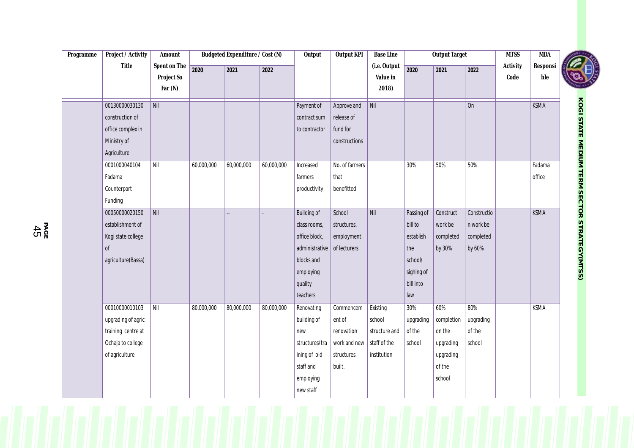| Programme | Project / Activity | Amount       |            | Budgeted Expenditure / Cost (N) |            | Output             | Output KPI     | <b>Base Line</b> |            | <b>Output Target</b> |             | <b>MTSS</b> | <b>MDA</b>  |                                                     |
|-----------|--------------------|--------------|------------|---------------------------------|------------|--------------------|----------------|------------------|------------|----------------------|-------------|-------------|-------------|-----------------------------------------------------|
|           | Title              | Spent on The | 2020       | 2021                            | 2022       |                    |                | (i.e. Output     | 2020       | 2021                 | 2022        | Activity    | Resposi     |                                                     |
|           |                    | Project So   |            |                                 |            |                    |                | Value in         |            |                      |             | Code        | ble         |                                                     |
|           |                    | Far (N)      |            |                                 |            |                    |                | 2018)            |            |                      |             |             |             |                                                     |
|           | 00130000030130     | Nil          |            |                                 |            | Payment of         | Approve and    | Nil              |            |                      | On          |             | <b>KSMA</b> | <b>KOGI STATE MEDIUM TERM SECTOR STRATEGY(MTSS)</b> |
|           | construction of    |              |            |                                 |            | contract sum       | release of     |                  |            |                      |             |             |             |                                                     |
|           | office complex in  |              |            |                                 |            | to contractor      | fund for       |                  |            |                      |             |             |             |                                                     |
|           | Ministry of        |              |            |                                 |            |                    | constructions  |                  |            |                      |             |             |             |                                                     |
|           | Agriculture        |              |            |                                 |            |                    |                |                  |            |                      |             |             |             |                                                     |
|           | 0001000040104      | $N$ il       | 60,000,000 | 60,000,000                      | 60,000,000 | Increased          | No. of farmers |                  | 30%        | 50%                  | 50%         |             | Fadama      |                                                     |
|           | Fadama             |              |            |                                 |            | farmers            | that           |                  |            |                      |             |             | office      |                                                     |
|           | Counterpart        |              |            |                                 |            | productivity       | benefitted     |                  |            |                      |             |             |             |                                                     |
|           | Funding            |              |            |                                 |            |                    |                |                  |            |                      |             |             |             |                                                     |
|           | 00050000020150     | Nil          |            | $\overline{a}$                  |            | <b>Building of</b> | School         | Nil              | Passing of | Construct            | Constructio |             | <b>KSMA</b> |                                                     |
|           | establishment of   |              |            |                                 |            | class rooms,       | structures,    |                  | bill to    | work be              | n work be   |             |             |                                                     |
|           | Kogi state college |              |            |                                 |            | office block,      | employment     |                  | establish  | completed            | completed   |             |             |                                                     |
|           | <sub>of</sub>      |              |            |                                 |            | administrative     | of lecturers   |                  | the        | by 30%               | by 60%      |             |             |                                                     |
|           | agriculture(Bassa) |              |            |                                 |            | blocks and         |                |                  | school/    |                      |             |             |             |                                                     |
|           |                    |              |            |                                 |            | employing          |                |                  | sighing of |                      |             |             |             |                                                     |
|           |                    |              |            |                                 |            | quality            |                |                  | bill into  |                      |             |             |             |                                                     |
|           |                    |              |            |                                 |            | teachers           |                |                  | law        |                      |             |             |             |                                                     |
|           | 00010000010103     | Nil          | 80,000,000 | 80,000,000                      | 80,000,000 | Renovating         | Commencem      | Existing         | 30%        | 60%                  | 80%         |             | <b>KSMA</b> |                                                     |
|           | upgrading of agric |              |            |                                 |            | building of        | ent of         | school           | upgrading  | completion           | upgrading   |             |             |                                                     |
|           | training centre at |              |            |                                 |            | new                | renovation     | structure and    | of the     | on the               | of the      |             |             |                                                     |
|           | Ochaja to college  |              |            |                                 |            | structures/tra     | work and new   | staff of the     | school     | upgrading            | school      |             |             |                                                     |
|           | of agriculture     |              |            |                                 |            | ining of old       | structures     | institution      |            | upgrading            |             |             |             |                                                     |
|           |                    |              |            |                                 |            | staff and          | built.         |                  |            | of the               |             |             |             |                                                     |
|           |                    |              |            |                                 |            | employing          |                |                  |            | school               |             |             |             |                                                     |
|           |                    |              |            |                                 |            | new staff          |                |                  |            |                      |             |             |             |                                                     |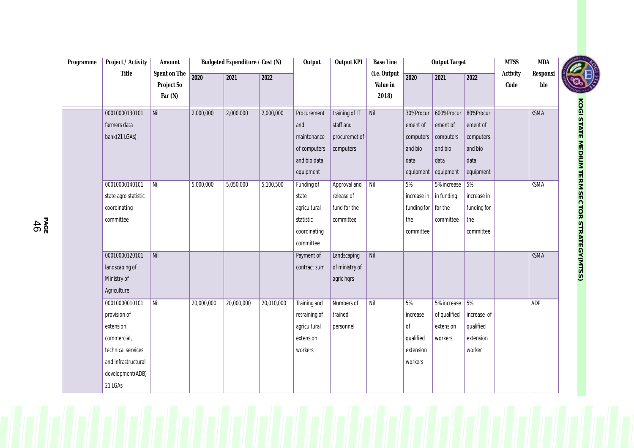| Programme | Project / Activity   | Amount                     | Budgeted Expenditure / Cost (N) |            | Output     | Output KPI    | <b>Base Line</b> |                          | <b>Output Target</b>        |                | <b>MTSS</b> | <b>MDA</b>       |                 |                                              |
|-----------|----------------------|----------------------------|---------------------------------|------------|------------|---------------|------------------|--------------------------|-----------------------------|----------------|-------------|------------------|-----------------|----------------------------------------------|
|           | Title                | Spent on The<br>Project So | 2020                            | 2021       | 2022       |               |                  | (i.e. Output<br>Value in | 2020                        | 2021           | 2022        | Activity<br>Code | Responsi<br>ble |                                              |
|           |                      | Far $(N)$                  |                                 |            |            |               |                  | 2018)                    |                             |                |             |                  |                 |                                              |
|           | 00010000130101       | Nil                        | 2,000,000                       | 2,000,000  | 2,000,000  | Procurement   | training of IT   | Nil                      | 30%Procur                   | 600%Procur     | 80%Procur   |                  | <b>KSMA</b>     | KOGI STATE MEDIUM TERM SECTOR STRATEGY(MTSS) |
|           | farmers data         |                            |                                 |            |            | and           | staff and        |                          | ement of                    | ement of       | ement of    |                  |                 |                                              |
|           | bank(21 LGAs)        |                            |                                 |            |            | maintenance   | procuremet of    |                          | computers                   | computers      | computers   |                  |                 |                                              |
|           |                      |                            |                                 |            |            | of computers  | computers        |                          | and bio                     | and bio        | and bio     |                  |                 |                                              |
|           |                      |                            |                                 |            |            | and bio data  |                  |                          | data                        | data           | data        |                  |                 |                                              |
|           |                      |                            |                                 |            |            | equipment     |                  |                          | equipment                   | equipment      | equipment   |                  |                 |                                              |
|           | 00010000140101       | Nil                        | 5,000,000                       | 5,050,000  | 5,100,500  | Funding of    | Approval and     | Nil                      | 5%                          | 5% increase    | 5%          |                  | <b>KSMA</b>     |                                              |
|           | state agro statistic |                            |                                 |            |            | state         | release of       |                          | increase in                 | in funding     | increase in |                  |                 |                                              |
|           | coordinating         |                            |                                 |            |            | agricultural  | fund for the     |                          | funding for $\vert$ for the |                | funding for |                  |                 |                                              |
|           | committee            |                            |                                 |            |            | statistic     | committee        |                          | the                         | committee      | the         |                  |                 |                                              |
|           |                      |                            |                                 |            |            | coordinating  |                  |                          | committee                   |                | committee   |                  |                 |                                              |
|           |                      |                            |                                 |            |            | committee     |                  |                          |                             |                |             |                  |                 |                                              |
|           | 00010000120101       | Nil                        |                                 |            |            | Payment of    | Landscaping      | $N$ il                   |                             |                |             |                  | <b>KSMA</b>     |                                              |
|           | landscaping of       |                            |                                 |            |            | contract sum  | of ministry of   |                          |                             |                |             |                  |                 |                                              |
|           | Ministry of          |                            |                                 |            |            |               | agric hqrs       |                          |                             |                |             |                  |                 |                                              |
|           | Agriculture          |                            |                                 |            |            |               |                  |                          |                             |                |             |                  |                 |                                              |
|           | 00010000010101       | Nil                        | 20,000,000                      | 20,000,000 | 20,010,000 | Training and  | Numbers of       | $N$ il                   | 5%                          | 5% increase 5% |             |                  | ADP             |                                              |
|           | provision of         |                            |                                 |            |            | retraining of | trained          |                          | increase                    | of qualified   | increase of |                  |                 |                                              |
|           | extension,           |                            |                                 |            |            | agricultural  | personnel        |                          | 0f                          | extension      | qualified   |                  |                 |                                              |
|           | commercial,          |                            |                                 |            |            | extension     |                  |                          | qualified                   | workers        | extension   |                  |                 |                                              |
|           | technical services   |                            |                                 |            |            | workers       |                  |                          | extension                   |                | worker      |                  |                 |                                              |
|           | and infrastructural  |                            |                                 |            |            |               |                  |                          | workers                     |                |             |                  |                 |                                              |
|           | development(ADB)     |                            |                                 |            |            |               |                  |                          |                             |                |             |                  |                 |                                              |
|           | 21 LGAs              |                            |                                 |            |            |               |                  |                          |                             |                |             |                  |                 |                                              |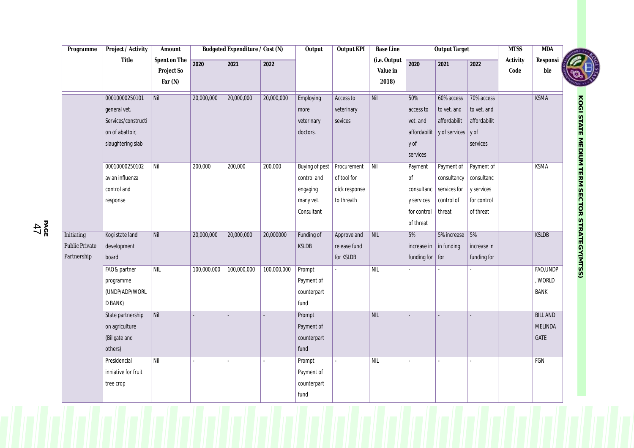| Programme             | Project / Activity                  | Amount       | Budgeted Expenditure / Cost (N) |             |             | Output                       | <b>Output KPI</b> | <b>Base Line</b> |                         | <b>Output Target</b> |                | <b>MTSS</b> | MDA             |                                                     |
|-----------------------|-------------------------------------|--------------|---------------------------------|-------------|-------------|------------------------------|-------------------|------------------|-------------------------|----------------------|----------------|-------------|-----------------|-----------------------------------------------------|
|                       | Title                               | Spent on The | 2020                            | 2021        | 2022        |                              |                   | (i.e. Output     | 2020                    | 2021                 | $\boxed{2022}$ | Activity    | Responsi        |                                                     |
|                       |                                     | Project So   |                                 |             |             |                              |                   | Value in         |                         |                      |                | $\rm Code$  | ble             |                                                     |
|                       |                                     | Far $(N)$    |                                 |             |             |                              |                   | 2018)            |                         |                      |                |             |                 |                                                     |
|                       | 00010000250101                      | Nil          | 20,000,000                      | 20,000,000  | 20,000,000  | Employing                    | Access to         | Nil              | 50%                     | 60% access           | 70% access     |             | <b>KSMA</b>     |                                                     |
|                       | general vet.                        |              |                                 |             |             | more                         | veterinary        |                  | access to               | to vet. and          | to vet. and    |             |                 |                                                     |
|                       | Services/constructi                 |              |                                 |             |             | veterinary                   | sevices           |                  | vet. and                | affordabilit         | affordabilit   |             |                 |                                                     |
|                       | on of abattoir,                     |              |                                 |             |             | doctors.                     |                   |                  | affordabilit            | y of services y of   |                |             |                 |                                                     |
|                       | slaughtering slab                   |              |                                 |             |             |                              |                   |                  | y of                    |                      | services       |             |                 |                                                     |
|                       |                                     |              |                                 |             |             |                              |                   |                  | services                |                      |                |             |                 |                                                     |
|                       | 00010000250102                      | Nil          | 200,000                         | 200,000     | 200,000     | Buying of pest   Procurement |                   | Nil              | Payment                 | Payment of           | Payment of     |             | <b>KSMA</b>     |                                                     |
|                       | avian influenza                     |              |                                 |             |             | control and                  | of tool for       |                  | $\mathsf{of}$           | consultancy          | consultanc     |             |                 |                                                     |
|                       | control and                         |              |                                 |             |             | engaging                     | qick response     |                  | consultanc              | services for         | y services     |             |                 |                                                     |
|                       | response                            |              |                                 |             |             | many vet.                    | to threath        |                  | y services              | control of           | for control    |             |                 |                                                     |
|                       |                                     |              |                                 |             |             | Consultant                   |                   |                  | for control             | threat               | of threat      |             |                 |                                                     |
|                       |                                     |              |                                 |             |             |                              |                   |                  | of threat               |                      |                |             |                 |                                                     |
| Initiating            | Kogi state land                     | Nil          | 20,000,000                      | 20,000,000  | 20,000000   | Funding of                   | Approve and       | NIL              | 5%                      | 5% increase          | 5%             |             | <b>KSLDB</b>    |                                                     |
| <b>Public Private</b> | development                         |              |                                 |             |             | KSLDB                        | release fund      |                  | increase in             | in funding           | increase in    |             |                 |                                                     |
| Partnership           | board                               |              |                                 |             |             |                              | for KSLDB         |                  | funding for $\vert$ for |                      | funding for    |             |                 | <b>KOGI STATE MEDIUM TERM SECTOR STRATEGY(MTSS)</b> |
|                       | FAO& partner                        | NIL          | 100,000,000                     | 100,000,000 | 100,000,000 | Prompt                       |                   | NIL              |                         |                      |                |             | FAO, UNDP       |                                                     |
|                       | programme                           |              |                                 |             |             | Payment of                   |                   |                  |                         |                      |                |             | , WORLD         |                                                     |
|                       | (UNDP/ADP/WORL<br>D BANK)           |              |                                 |             |             | counterpart<br>fund          |                   |                  |                         |                      |                |             | BANK            |                                                     |
|                       |                                     | Nill         |                                 |             |             |                              |                   | NIL              |                         |                      |                |             | <b>BILL AND</b> |                                                     |
|                       | State partnership<br>on agriculture |              |                                 |             |             | Prompt<br>Payment of         |                   |                  |                         |                      |                |             | <b>MELINDA</b>  |                                                     |
|                       | (Billgate and                       |              |                                 |             |             | counterpart                  |                   |                  |                         |                      |                |             | GATE            |                                                     |
|                       | others)                             |              |                                 |             |             | fund                         |                   |                  |                         |                      |                |             |                 |                                                     |
|                       | Presidencial                        | Nil          |                                 |             |             | Prompt                       |                   | NIL              |                         |                      |                |             | FGN             |                                                     |
|                       | inniative for fruit                 |              |                                 |             |             | Payment of                   |                   |                  |                         |                      |                |             |                 |                                                     |
|                       | tree crop                           |              |                                 |             |             | counterpart                  |                   |                  |                         |                      |                |             |                 |                                                     |
|                       |                                     |              |                                 |             |             | fund                         |                   |                  |                         |                      |                |             |                 |                                                     |
|                       |                                     |              |                                 |             |             |                              |                   |                  |                         |                      |                |             |                 |                                                     |

**PA GE** 4 7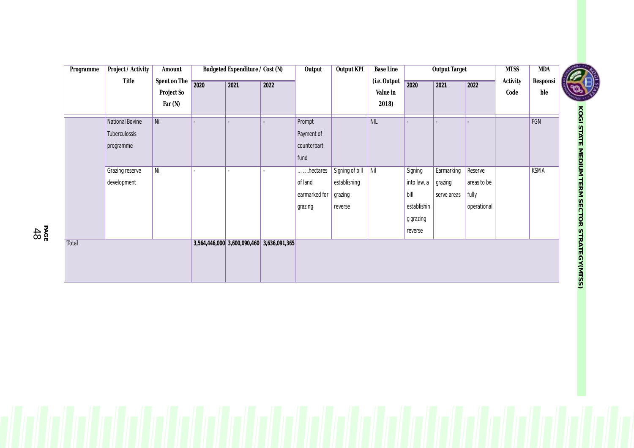| Programme | Project / Activity | Amount       |      | Budgeted Expenditure / Cost (N)           |      | Output        | Output KPI      | <b>Base Line</b> |             | <b>Output Target</b> |             | <b>MTSS</b> | $\overline{\mbox{MDA}}$ |                                                     |
|-----------|--------------------|--------------|------|-------------------------------------------|------|---------------|-----------------|------------------|-------------|----------------------|-------------|-------------|-------------------------|-----------------------------------------------------|
|           | Title              | Spent on The | 2020 | 2021                                      | 2022 |               |                 | (i.e. Output     | 2020        | 2021                 | 2022        | Activity    | Responsi                |                                                     |
|           |                    | Project So   |      |                                           |      |               |                 | Value in         |             |                      |             | Code        | ble                     |                                                     |
|           |                    | Far $(N)$    |      |                                           |      |               |                 | 2018)            |             |                      |             |             |                         |                                                     |
|           | National Bovine    | Nil          |      |                                           |      | Prompt        |                 | NIL              |             |                      |             |             | FGN                     | <b>KOGI STATE MEDIUM TERM SECTOR STRATEGY(MTSS)</b> |
|           | Tuberculossis      |              |      |                                           |      | Payment of    |                 |                  |             |                      |             |             |                         |                                                     |
|           | programme          |              |      |                                           |      | counterpart   |                 |                  |             |                      |             |             |                         |                                                     |
|           |                    |              |      |                                           |      | fund          |                 |                  |             |                      |             |             |                         |                                                     |
|           | Grazing reserve    | $N$ il       |      |                                           |      | hectares      | Signing of bill | Nil              | Signing     | Earmarking           | Reserve     |             | <b>KSMA</b>             |                                                     |
|           | development        |              |      |                                           |      | of land       | establishing    |                  | into law, a | grazing              | areas to be |             |                         |                                                     |
|           |                    |              |      |                                           |      | earmarked for | grazing         |                  | bill        | serve areas          | fully       |             |                         |                                                     |
|           |                    |              |      |                                           |      | grazing       | reverse         |                  | establishin |                      | operational |             |                         |                                                     |
|           |                    |              |      |                                           |      |               |                 |                  | g grazing   |                      |             |             |                         |                                                     |
|           |                    |              |      |                                           |      |               |                 |                  | reverse     |                      |             |             |                         |                                                     |
| Total     |                    |              |      | 3,564,446,000 3,600,090,460 3,636,091,365 |      |               |                 |                  |             |                      |             |             |                         |                                                     |
|           |                    |              |      |                                           |      |               |                 |                  |             |                      |             |             |                         |                                                     |
|           |                    |              |      |                                           |      |               |                 |                  |             |                      |             |             |                         |                                                     |
|           |                    |              |      |                                           |      |               |                 |                  |             |                      |             |             |                         |                                                     |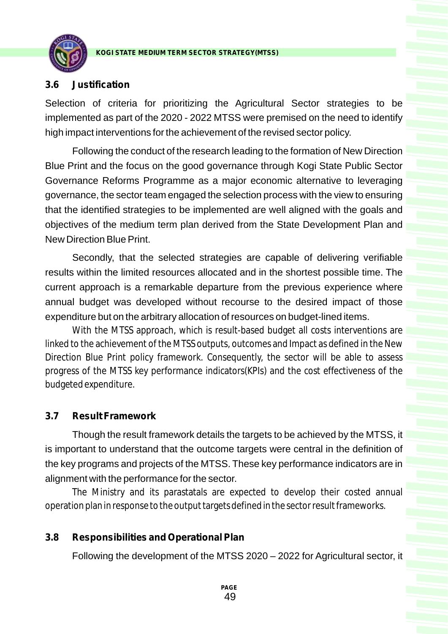

#### **3.6 Justification**

Selection of criteria for prioritizing the Agricultural Sector strategies to be implemented as part of the 2020 - 2022 MTSS were premised on the need to identify high impact interventions for the achievement of the revised sector policy.

Following the conduct of the research leading to the formation of New Direction Blue Print and the focus on the good governance through Kogi State Public Sector Governance Reforms Programme as a major economic alternative to leveraging governance, the sector team engaged the selection process with the view to ensuring that the identified strategies to be implemented are well aligned with the goals and objectives of the medium term plan derived from the State Development Plan and New Direction Blue Print.

Secondly, that the selected strategies are capable of delivering verifiable results within the limited resources allocated and in the shortest possible time. The current approach is a remarkable departure from the previous experience where annual budget was developed without recourse to the desired impact of those expenditure but on the arbitrary allocation of resources on budget-lined items.

With the MTSS approach, which is result-based budget all costs interventions are linked to the achievement of the MTSS outputs, outcomes and Impact as defined in the New Direction Blue Print policy framework. Consequently, the sector will be able to assess progress of the MTSS key performance indicators(KPIs) and the cost effectiveness of the budgeted expenditure.

#### **3.7 Result Framework**

Though the result framework details the targets to be achieved by the MTSS, it is important to understand that the outcome targets were central in the definition of the key programs and projects of the MTSS. These key performance indicators are in alignment with the performance for the sector.

The Ministry and its parastatals are expected to develop their costed annual operation plan in response to the output targets defined in the sector result frameworks.

#### **3.8 Responsibilities and Operational Plan**

Following the development of the MTSS 2020 – 2022 for Agricultural sector, it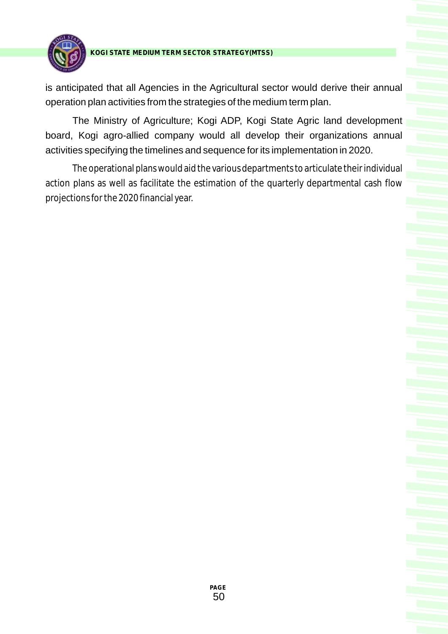

is anticipated that all Agencies in the Agricultural sector would derive their annual operation plan activities from the strategies of the medium term plan.

The Ministry of Agriculture; Kogi ADP, Kogi State Agric land development board, Kogi agro-allied company would all develop their organizations annual activities specifying the timelines and sequence for its implementation in 2020.

The operational plans would aid the various departments to articulate their individual action plans as well as facilitate the estimation of the quarterly departmental cash flow projections for the 2020 financial year.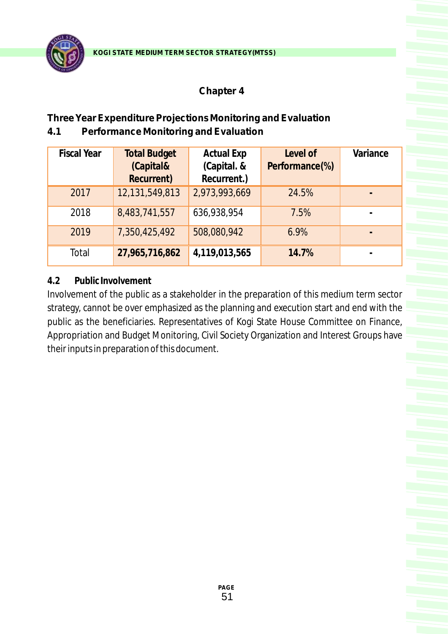

# **Chapter 4**

# **Three Year Expenditure ProjectionsMonitoring and Evaluation 4.1 Performance Monitoring and Evaluation**

| <b>Fiscal Year</b> | <b>Total Budget</b><br>(Capital& | <b>Actual Exp</b><br>(Capital. & | Level of<br>Performance(%) | Variance |
|--------------------|----------------------------------|----------------------------------|----------------------------|----------|
|                    | Recurrent)                       | Recurrent.)                      |                            |          |
| 2017               | 12,131,549,813                   | 2,973,993,669                    | 24.5%                      |          |
| 2018               | 8,483,741,557                    | 636,938,954                      | 7.5%                       |          |
| 2019               | 7,350,425,492                    | 508,080,942                      | 6.9%                       |          |
| Total              | 27,965,716,862                   | 4,119,013,565                    | 14.7%                      |          |

# **4.2 Public Involvement**

Involvement of the public as a stakeholder in the preparation of this medium term sector strategy, cannot be over emphasized as the planning and execution start and end with the public as the beneficiaries. Representatives of Kogi State House Committee on Finance, Appropriation and Budget Monitoring, Civil Society Organization and Interest Groups have their inputs in preparation of this document.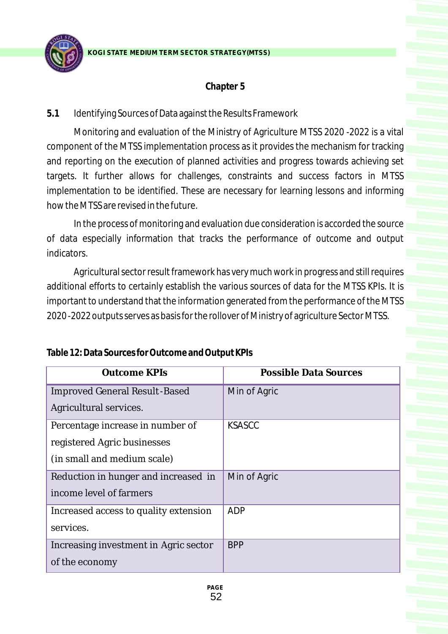

# **Chapter 5**

# **5.1** Identifying Sources of Data against the Results Framework

Monitoring and evaluation of the Ministry of Agriculture MTSS 2020 -2022 is a vital component of the MTSS implementation process as it provides the mechanism for tracking and reporting on the execution of planned activities and progress towards achieving set targets. It further allows for challenges, constraints and success factors in MTSS implementation to be identified. These are necessary for learning lessons and informing how the MTSS are revised in the future.

In the process of monitoring and evaluation due consideration is accorded the source of data especially information that tracks the performance of outcome and output indicators.

Agricultural sector result framework has very much work in progress and still requires additional efforts to certainly establish the various sources of data for the MTSS KPIs. It is important to understand that the information generated from the performance of the MTSS 2020 -2022 outputs serves as basis for the rollover of Ministry of agriculture Sector MTSS.

| Outcome KPIs                          | <b>Possible Data Sources</b> |
|---------------------------------------|------------------------------|
| <b>Improved General Result-Based</b>  | Min of Agric                 |
| Agricultural services.                |                              |
| Percentage increase in number of      | <b>KSASCC</b>                |
| registered Agric businesses           |                              |
| (in small and medium scale)           |                              |
| Reduction in hunger and increased in  | Min of Agric                 |
| income level of farmers               |                              |
| Increased access to quality extension | <b>ADP</b>                   |
| services.                             |                              |
| Increasing investment in Agric sector | <b>BPP</b>                   |
| of the economy                        |                              |

**Table 12: Data Sources for Outcome and Output KPIs**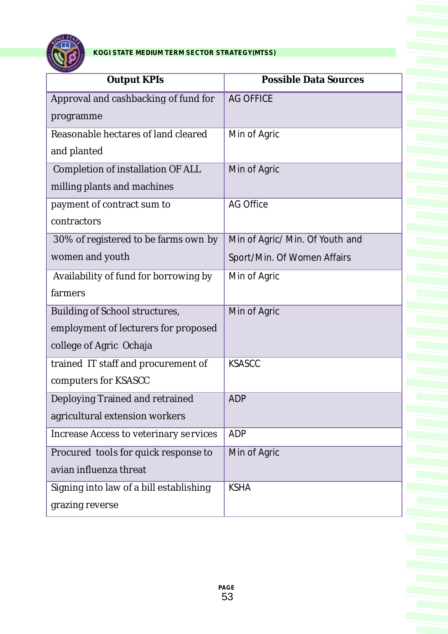

| <b>OF OL</b>                                  |                                 |
|-----------------------------------------------|---------------------------------|
| <b>Output KPIs</b>                            | <b>Possible Data Sources</b>    |
| Approval and cashbacking of fund for          | <b>AG OFFICE</b>                |
| programme                                     |                                 |
| Reasonable hectares of land cleared           | Min of Agric                    |
| and planted                                   |                                 |
| <b>Completion of installation OF ALL</b>      | Min of Agric                    |
| milling plants and machines                   |                                 |
| payment of contract sum to                    | <b>AG Office</b>                |
| contractors                                   |                                 |
| 30% of registered to be farms own by          | Min of Agric/ Min. Of Youth and |
| women and youth                               | Sport/Min. Of Women Affairs     |
| Availability of fund for borrowing by         | Min of Agric                    |
| farmers                                       |                                 |
| <b>Building of School structures,</b>         | Min of Agric                    |
| employment of lecturers for proposed          |                                 |
| college of Agric Ochaja                       |                                 |
| trained IT staff and procurement of           | <b>KSASCC</b>                   |
| computers for KSASCC                          |                                 |
| Deploying Trained and retrained               | <b>ADP</b>                      |
| agricultural extension workers                |                                 |
| <b>Increase Access to veterinary services</b> | <b>ADP</b>                      |
| Procured tools for quick response to          | Min of Agric                    |
| avian influenza threat                        |                                 |
| Signing into law of a bill establishing       | <b>KSHA</b>                     |
| grazing reverse                               |                                 |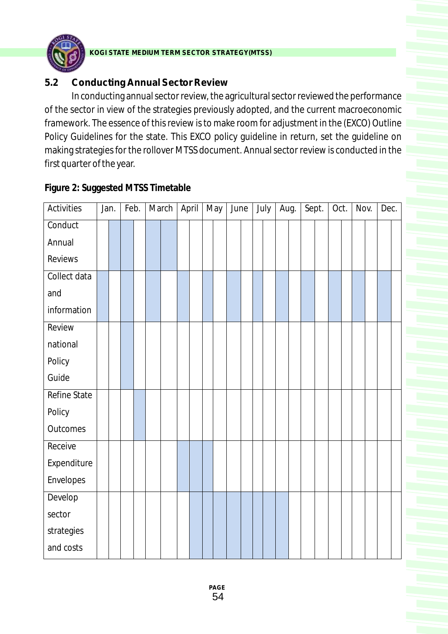

# **5.2 Conducting Annual Sector Review**

In conducting annual sector review, the agricultural sector reviewed the performance of the sector in view of the strategies previously adopted, and the current macroeconomic framework. The essence of this review is to make room for adjustment in the (EXCO) Outline Policy Guidelines for the state. This EXCO policy guideline in return, set the guideline on making strategies for the rollover MTSS document. Annual sector review is conducted in the first quarter of the year.

Activities | Jan. | Feb. | March | April | May | June | July | Aug. | Sept. | Oct. | Nov. | Dec. Conduct Annual Reviews Collect data and information Review national Policy Guide Refine State Policy **Outcomes** Receive Expenditure Envelopes Develop sector strategies and costs

**Figure 2: Suggested MTSS Timetable**